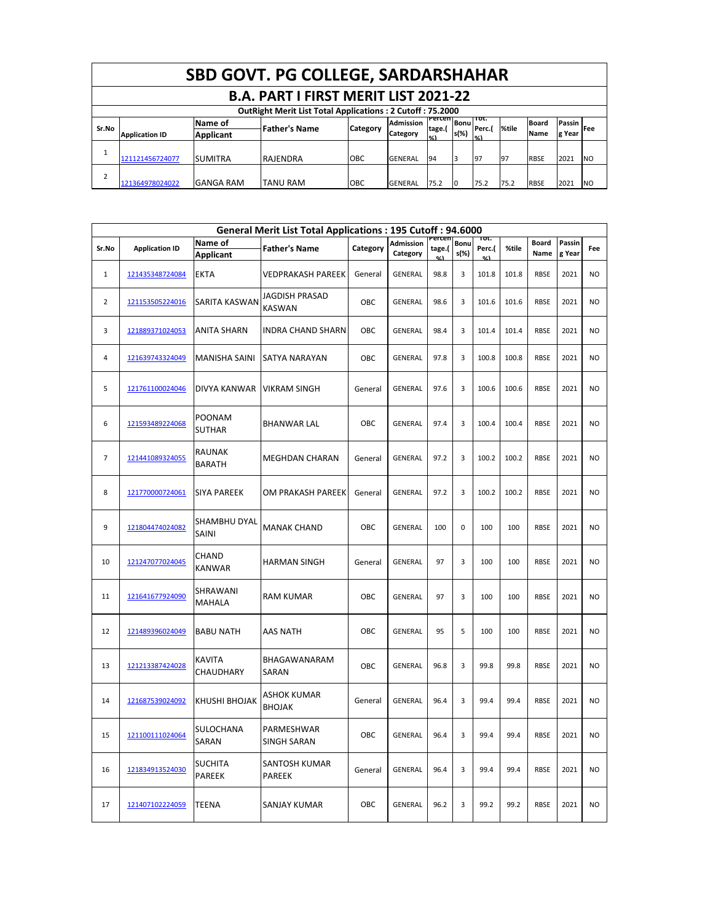|                          | <b>SBD GOVT. PG COLLEGE, SARDARSHAHAR</b>                        |                  |                      |          |                  |                        |      |                |       |              |        |            |  |  |
|--------------------------|------------------------------------------------------------------|------------------|----------------------|----------|------------------|------------------------|------|----------------|-------|--------------|--------|------------|--|--|
|                          | <b>B.A. PART I FIRST MERIT LIST 2021-22</b>                      |                  |                      |          |                  |                        |      |                |       |              |        |            |  |  |
|                          | <b>OutRight Merit List Total Applications: 2 Cutoff: 75.2000</b> |                  |                      |          |                  |                        |      |                |       |              |        |            |  |  |
| Sr.No                    |                                                                  | Name of          | <b>Father's Name</b> | Category | <b>Admission</b> | Percen Bonul<br>tage.( |      | ποτ.<br>Perc.( | %tile | <b>Board</b> | Passin | <b>Fee</b> |  |  |
|                          | <b>Application ID</b>                                            | <b>Applicant</b> |                      |          | Category         | O(1)                   | s(%) | $O(\Delta)$    |       | Name         | g Year |            |  |  |
| $\overline{\phantom{a}}$ |                                                                  |                  |                      |          |                  |                        |      |                |       |              |        |            |  |  |
|                          | 121121456724077                                                  | <b>SUMITRA</b>   | <b>RAJENDRA</b>      | OBC      | <b>GENERAL</b>   | 94                     |      | 97             | 97    | <b>RBSE</b>  | 2021   | <b>NO</b>  |  |  |
| $\overline{2}$           |                                                                  |                  |                      |          |                  |                        |      |                |       |              |        |            |  |  |
|                          | 121364978024022                                                  | <b>GANGA RAM</b> | <b>TANU RAM</b>      | OBC      | <b>GENERAL</b>   | 75.2                   |      | 75.2           | 75.2  | <b>RBSE</b>  | 2021   | <b>NO</b>  |  |  |

|                |                       |                                 | <b>General Merit List Total Applications: 195 Cutoff: 94.6000</b> |            |                       |                  |                     |                 |       |                      |                  |           |
|----------------|-----------------------|---------------------------------|-------------------------------------------------------------------|------------|-----------------------|------------------|---------------------|-----------------|-------|----------------------|------------------|-----------|
| Sr.No          | <b>Application ID</b> | Name of<br><b>Applicant</b>     | <b>Father's Name</b>                                              | Category   | Admission<br>Category | Percen<br>tage.( | <b>Bonu</b><br>s(%) | ι οτ.<br>Perc.( | %tile | <b>Board</b><br>Name | Passin<br>g Year | Fee       |
| $\mathbf{1}$   | 121435348724084       | <b>EKTA</b>                     | VEDPRAKASH PAREEK                                                 | General    | <b>GENERAL</b>        | 98.8             | 3                   | 101.8           | 101.8 | <b>RBSE</b>          | 2021             | NO.       |
| $\overline{2}$ | 121153505224016       | SARITA KASWAN                   | JAGDISH PRASAD<br><b>KASWAN</b>                                   | OBC        | <b>GENERAL</b>        | 98.6             | 3                   | 101.6           | 101.6 | <b>RBSE</b>          | 2021             | NO.       |
| 3              | 121889371024053       | ANITA SHARN                     | <b>INDRA CHAND SHARN</b>                                          | OBC        | <b>GENERAL</b>        | 98.4             | 3                   | 101.4           | 101.4 | <b>RBSE</b>          | 2021             | NO.       |
| 4              | 121639743324049       | <b>MANISHA SAINI</b>            | SATYA NARAYAN                                                     | OBC        | GENERAL               | 97.8             | 3                   | 100.8           | 100.8 | <b>RBSE</b>          | 2021             | NO.       |
| 5              | 121761100024046       | DIVYA KANWAR                    | <b>VIKRAM SINGH</b>                                               | General    | <b>GENERAL</b>        | 97.6             | 3                   | 100.6           | 100.6 | <b>RBSE</b>          | 2021             | NO        |
| 6              | 121593489224068       | <b>POONAM</b><br><b>SUTHAR</b>  | <b>BHANWAR LAL</b>                                                | <b>OBC</b> | <b>GENERAL</b>        | 97.4             | 3                   | 100.4           | 100.4 | <b>RBSE</b>          | 2021             | NO        |
| $\overline{7}$ | 121441089324055       | RAUNAK<br><b>BARATH</b>         | <b>MEGHDAN CHARAN</b>                                             | General    | <b>GENERAL</b>        | 97.2             | 3                   | 100.2           | 100.2 | <b>RBSE</b>          | 2021             | NO        |
| 8              | 121770000724061       | <b>SIYA PAREEK</b>              | OM PRAKASH PAREEK                                                 | General    | <b>GENERAL</b>        | 97.2             | 3                   | 100.2           | 100.2 | <b>RBSE</b>          | 2021             | NO        |
| 9              | 121804474024082       | SHAMBHU DYAL<br>SAINI           | <b>MANAK CHAND</b>                                                | <b>OBC</b> | <b>GENERAL</b>        | 100              | 0                   | 100             | 100   | <b>RBSE</b>          | 2021             | NO        |
| 10             | 121247077024045       | CHAND<br><b>KANWAR</b>          | <b>HARMAN SINGH</b>                                               | General    | <b>GENERAL</b>        | 97               | 3                   | 100             | 100   | <b>RBSE</b>          | 2021             | NO        |
| 11             | 121641677924090       | SHRAWANI<br>MAHALA              | <b>RAM KUMAR</b>                                                  | OBC        | GENERAL               | 97               | 3                   | 100             | 100   | <b>RBSE</b>          | 2021             | <b>NO</b> |
| 12             | 121489396024049       | <b>BABU NATH</b>                | AAS NATH                                                          | OBC        | <b>GENERAL</b>        | 95               | 5                   | 100             | 100   | <b>RBSE</b>          | 2021             | NO        |
| 13             | 121213387424028       | <b>KAVITA</b><br>CHAUDHARY      | BHAGAWANARAM<br>SARAN                                             | OBC        | <b>GENERAL</b>        | 96.8             | 3                   | 99.8            | 99.8  | <b>RBSE</b>          | 2021             | <b>NO</b> |
| 14             | 121687539024092       | <b>KHUSHI BHOJAK</b>            | ASHOK KUMAR<br><b>BHOJAK</b>                                      | General    | <b>GENERAL</b>        | 96.4             | 3                   | 99.4            | 99.4  | <b>RBSE</b>          | 2021             | <b>NO</b> |
| 15             | 121100111024064       | SULOCHANA<br>SARAN              | PARMESHWAR<br>SINGH SARAN                                         | OBC        | <b>GENERAL</b>        | 96.4             | 3                   | 99.4            | 99.4  | <b>RBSE</b>          | 2021             | NO        |
| 16             | 121834913524030       | <b>SUCHITA</b><br><b>PAREEK</b> | SANTOSH KUMAR<br>PAREEK                                           | General    | <b>GENERAL</b>        | 96.4             | 3                   | 99.4            | 99.4  | <b>RBSE</b>          | 2021             | <b>NO</b> |
| $17\,$         | 121407102224059       | <b>TEENA</b>                    | SANJAY KUMAR                                                      | OBC        | GENERAL               | 96.2             | 3                   | 99.2            | 99.2  | <b>RBSE</b>          | 2021             | <b>NO</b> |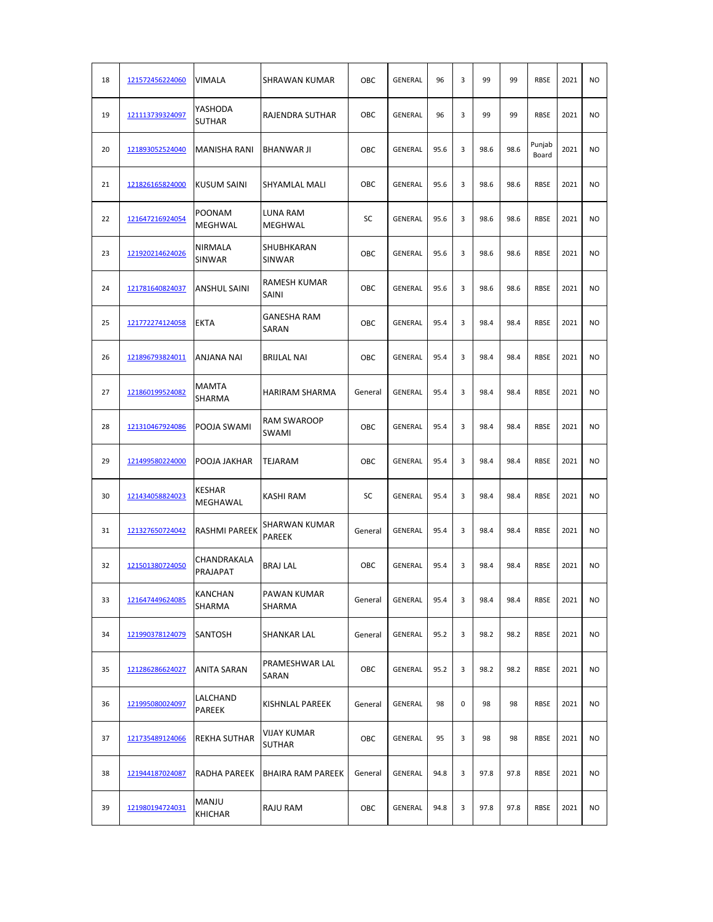| 18 | 121572456224060 | VIMALA                          | <b>SHRAWAN KUMAR</b>           | OBC        | <b>GENERAL</b> | 96   | 3 | 99   | 99   | <b>RBSE</b>     | 2021 | <b>NO</b>      |
|----|-----------------|---------------------------------|--------------------------------|------------|----------------|------|---|------|------|-----------------|------|----------------|
| 19 | 121113739324097 | YASHODA<br><b>SUTHAR</b>        | <b>RAJENDRA SUTHAR</b>         | OBC        | <b>GENERAL</b> | 96   | 3 | 99   | 99   | <b>RBSE</b>     | 2021 | NO.            |
| 20 | 121893052524040 | <b>MANISHA RANI</b>             | <b>BHANWAR JI</b>              | OBC        | <b>GENERAL</b> | 95.6 | 3 | 98.6 | 98.6 | Punjab<br>Board | 2021 | N <sub>O</sub> |
| 21 | 121826165824000 | <b>KUSUM SAINI</b>              | <b>SHYAMLAL MALI</b>           | OBC        | GENERAL        | 95.6 | 3 | 98.6 | 98.6 | <b>RBSE</b>     | 2021 | <b>NO</b>      |
| 22 | 121647216924054 | <b>POONAM</b><br><b>MEGHWAL</b> | LUNA RAM<br>MEGHWAL            | SC         | GENERAL        | 95.6 | 3 | 98.6 | 98.6 | <b>RBSE</b>     | 2021 | <b>NO</b>      |
| 23 | 121920214624026 | NIRMALA<br>SINWAR               | SHUBHKARAN<br><b>SINWAR</b>    | OBC        | GENERAL        | 95.6 | 3 | 98.6 | 98.6 | <b>RBSE</b>     | 2021 | <b>NO</b>      |
| 24 | 121781640824037 | <b>ANSHUL SAINI</b>             | RAMESH KUMAR<br><b>SAINI</b>   | OBC        | <b>GENERAL</b> | 95.6 | 3 | 98.6 | 98.6 | <b>RBSE</b>     | 2021 | <b>NO</b>      |
| 25 | 121772274124058 | <b>EKTA</b>                     | <b>GANESHA RAM</b><br>SARAN    | OBC        | <b>GENERAL</b> | 95.4 | 3 | 98.4 | 98.4 | <b>RBSE</b>     | 2021 | <b>NO</b>      |
| 26 | 121896793824011 | ANJANA NAI                      | <b>BRIJLAL NAI</b>             | OBC        | GENERAL        | 95.4 | 3 | 98.4 | 98.4 | <b>RBSE</b>     | 2021 | <b>NO</b>      |
| 27 | 121860199524082 | MAMTA<br>SHARMA                 | <b>HARIRAM SHARMA</b>          | General    | GENERAL        | 95.4 | 3 | 98.4 | 98.4 | <b>RBSE</b>     | 2021 | <b>NO</b>      |
| 28 | 121310467924086 | POOJA SWAMI                     | <b>RAM SWAROOP</b><br>SWAMI    | OBC        | GENERAL        | 95.4 | 3 | 98.4 | 98.4 | <b>RBSE</b>     | 2021 | <b>NO</b>      |
| 29 | 121499580224000 | POOJA JAKHAR                    | TEJARAM                        | OBC        | GENERAL        | 95.4 | 3 | 98.4 | 98.4 | <b>RBSE</b>     | 2021 | <b>NO</b>      |
| 30 | 121434058824023 | KESHAR<br>MEGHAWAL              | KASHI RAM                      | SC         | <b>GENERAL</b> | 95.4 | 3 | 98.4 | 98.4 | <b>RBSE</b>     | 2021 | N <sub>O</sub> |
| 31 | 121327650724042 | <b>RASHMI PAREEK</b>            | SHARWAN KUMAR<br><b>PAREEK</b> | General    | <b>GENERAL</b> | 95.4 | 3 | 98.4 | 98.4 | <b>RBSE</b>     | 2021 | N <sub>O</sub> |
| 32 | 121501380724050 | CHANDRAKALA<br>PRAJAPAT         | <b>BRAJ LAL</b>                | <b>OBC</b> | <b>GENERAL</b> | 95.4 | 3 | 98.4 | 98.4 | <b>RBSE</b>     | 2021 | NO.            |
| 33 | 121647449624085 | <b>KANCHAN</b><br>SHARMA        | <b>PAWAN KUMAR</b><br>SHARMA   | General    | GENERAL        | 95.4 | 3 | 98.4 | 98.4 | <b>RBSE</b>     | 2021 | <b>NO</b>      |
| 34 | 121990378124079 | <b>SANTOSH</b>                  | <b>SHANKAR LAL</b>             | General    | GENERAL        | 95.2 | 3 | 98.2 | 98.2 | <b>RBSE</b>     | 2021 | NO.            |
| 35 | 121286286624027 | <b>ANITA SARAN</b>              | PRAMESHWAR LAL<br>SARAN        | OBC        | GENERAL        | 95.2 | 3 | 98.2 | 98.2 | <b>RBSE</b>     | 2021 | <b>NO</b>      |
| 36 | 121995080024097 | LALCHAND<br>PAREEK              | KISHNLAL PAREEK                | General    | GENERAL        | 98   | 0 | 98   | 98   | <b>RBSE</b>     | 2021 | <b>NO</b>      |
| 37 | 121735489124066 | <b>REKHA SUTHAR</b>             | VIJAY KUMAR<br><b>SUTHAR</b>   | OBC        | GENERAL        | 95   | 3 | 98   | 98   | <b>RBSE</b>     | 2021 | <b>NO</b>      |
| 38 | 121944187024087 | RADHA PAREEK                    | <b>BHAIRA RAM PAREEK</b>       | General    | GENERAL        | 94.8 | 3 | 97.8 | 97.8 | <b>RBSE</b>     | 2021 | <b>NO</b>      |
| 39 | 121980194724031 | MANJU<br>KHICHAR                | RAJU RAM                       | OBC        | GENERAL        | 94.8 | 3 | 97.8 | 97.8 | RBSE            | 2021 | <b>NO</b>      |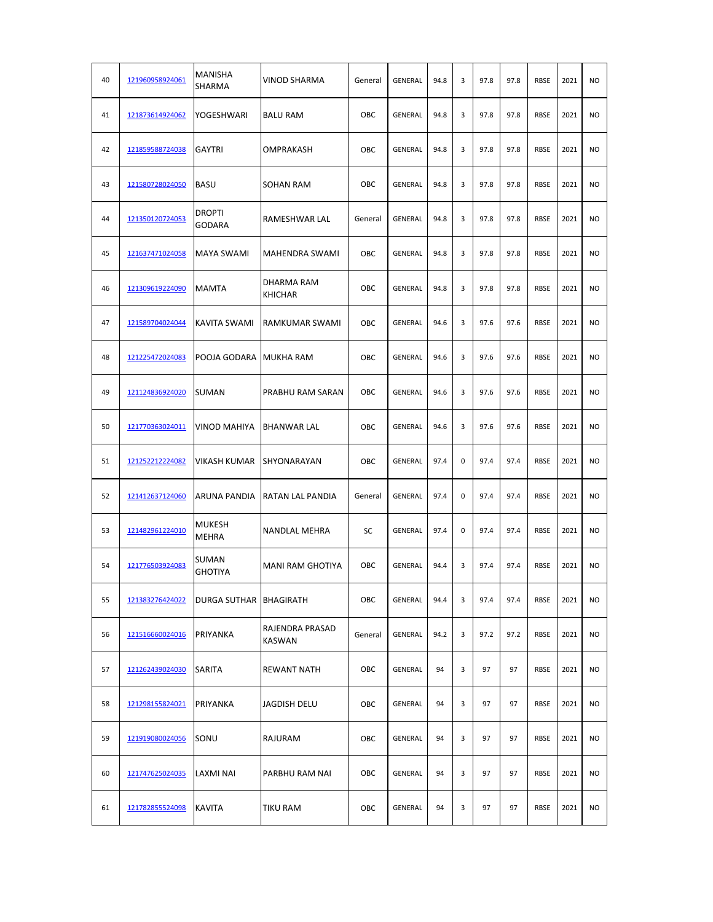| 40 | 121960958924061 | MANISHA<br>SHARMA              | VINOD SHARMA                 | General | <b>GENERAL</b> | 94.8 | 3 | 97.8 | 97.8 | <b>RBSE</b> | 2021 | <b>NO</b>      |
|----|-----------------|--------------------------------|------------------------------|---------|----------------|------|---|------|------|-------------|------|----------------|
| 41 | 121873614924062 | YOGESHWARI                     | <b>BALU RAM</b>              | OBC     | GENERAL        | 94.8 | 3 | 97.8 | 97.8 | <b>RBSE</b> | 2021 | N <sub>O</sub> |
| 42 | 121859588724038 | GAYTRI                         | OMPRAKASH                    | OBC     | GENERAL        | 94.8 | 3 | 97.8 | 97.8 | <b>RBSE</b> | 2021 | N <sub>O</sub> |
| 43 | 121580728024050 | <b>BASU</b>                    | <b>SOHAN RAM</b>             | OBC     | GENERAL        | 94.8 | 3 | 97.8 | 97.8 | <b>RBSE</b> | 2021 | <b>NO</b>      |
| 44 | 121350120724053 | <b>DROPTI</b><br><b>GODARA</b> | RAMESHWAR LAL                | General | GENERAL        | 94.8 | 3 | 97.8 | 97.8 | <b>RBSE</b> | 2021 | <b>NO</b>      |
| 45 | 121637471024058 | MAYA SWAMI                     | MAHENDRA SWAMI               | OBC     | GENERAL        | 94.8 | 3 | 97.8 | 97.8 | <b>RBSE</b> | 2021 | <b>NO</b>      |
| 46 | 121309619224090 | <b>MAMTA</b>                   | DHARMA RAM<br><b>KHICHAR</b> | OBC     | GENERAL        | 94.8 | 3 | 97.8 | 97.8 | <b>RBSE</b> | 2021 | N <sub>O</sub> |
| 47 | 121589704024044 | KAVITA SWAMI                   | <b>RAMKUMAR SWAMI</b>        | OBC     | GENERAL        | 94.6 | 3 | 97.6 | 97.6 | <b>RBSE</b> | 2021 | <b>NO</b>      |
| 48 | 121225472024083 | POOJA GODARA                   | <b>MUKHA RAM</b>             | OBC     | GENERAL        | 94.6 | 3 | 97.6 | 97.6 | <b>RBSE</b> | 2021 | N <sub>O</sub> |
| 49 | 121124836924020 | SUMAN                          | PRABHU RAM SARAN             | OBC     | <b>GENERAL</b> | 94.6 | 3 | 97.6 | 97.6 | <b>RBSE</b> | 2021 | <b>NO</b>      |
| 50 | 121770363024011 | <b>VINOD MAHIYA</b>            | <b>BHANWAR LAL</b>           | OBC     | GENERAL        | 94.6 | 3 | 97.6 | 97.6 | <b>RBSE</b> | 2021 | <b>NO</b>      |
| 51 | 121252212224082 | VIKASH KUMAR                   | SHYONARAYAN                  | OBC     | GENERAL        | 97.4 | 0 | 97.4 | 97.4 | <b>RBSE</b> | 2021 | <b>NO</b>      |
| 52 | 121412637124060 | ARUNA PANDIA                   | RATAN LAL PANDIA             | General | GENERAL        | 97.4 | 0 | 97.4 | 97.4 | <b>RBSE</b> | 2021 | <b>NO</b>      |
| 53 | 121482961224010 | MUKESH<br>MEHRA                | NANDLAL MEHRA                | SC      | GENERAL        | 97.4 | 0 | 97.4 | 97.4 | <b>RBSE</b> | 2021 | N <sub>O</sub> |
| 54 | 121776503924083 | SUMAN<br><b>GHOTIYA</b>        | <b>MANI RAM GHOTIYA</b>      | OBC     | GENERAL        | 94.4 | 3 | 97.4 | 97.4 | RBSE        | 2021 | N <sub>O</sub> |
| 55 | 121383276424022 | DURGA SUTHAR   BHAGIRATH       |                              | OBC     | GENERAL        | 94.4 | 3 | 97.4 | 97.4 | <b>RBSE</b> | 2021 | <b>NO</b>      |
| 56 | 121516660024016 | PRIYANKA                       | RAJENDRA PRASAD<br>KASWAN    | General | GENERAL        | 94.2 | 3 | 97.2 | 97.2 | <b>RBSE</b> | 2021 | <b>NO</b>      |
| 57 | 121262439024030 | SARITA                         | <b>REWANT NATH</b>           | OBC     | GENERAL        | 94   | 3 | 97   | 97   | RBSE        | 2021 | <b>NO</b>      |
| 58 | 121298155824021 | PRIYANKA                       | JAGDISH DELU                 | OBC     | GENERAL        | 94   | 3 | 97   | 97   | RBSE        | 2021 | <b>NO</b>      |
| 59 | 121919080024056 | SONU                           | RAJURAM                      | OBC     | GENERAL        | 94   | 3 | 97   | 97   | RBSE        | 2021 | <b>NO</b>      |
| 60 | 121747625024035 | LAXMI NAI                      | PARBHU RAM NAI               | OBC     | GENERAL        | 94   | 3 | 97   | 97   | <b>RBSE</b> | 2021 | <b>NO</b>      |
| 61 | 121782855524098 | KAVITA                         | TIKU RAM                     | OBC     | GENERAL        | 94   | 3 | 97   | 97   | <b>RBSE</b> | 2021 | <b>NO</b>      |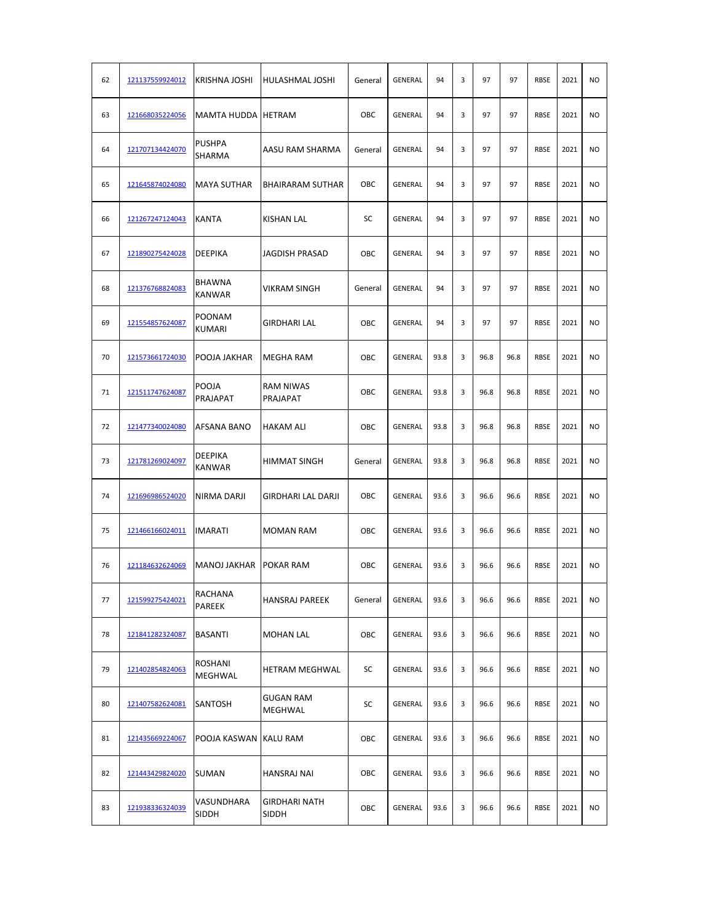| 62 | 121137559924012 | <b>KRISHNA JOSHI</b>           | HULASHMAL JOSHI              | General | GENERAL        | 94   | 3 | 97   | 97   | <b>RBSE</b> | 2021 | <b>NO</b>      |
|----|-----------------|--------------------------------|------------------------------|---------|----------------|------|---|------|------|-------------|------|----------------|
| 63 | 121668035224056 | <b>MAMTA HUDDA</b>             | <b>HETRAM</b>                | OBC     | GENERAL        | 94   | 3 | 97   | 97   | <b>RBSE</b> | 2021 | <b>NO</b>      |
| 64 | 121707134424070 | <b>PUSHPA</b><br>SHARMA        | AASU RAM SHARMA              | General | GENERAL        | 94   | 3 | 97   | 97   | <b>RBSE</b> | 2021 | <b>NO</b>      |
| 65 | 121645874024080 | <b>MAYA SUTHAR</b>             | <b>BHAIRARAM SUTHAR</b>      | OBC     | <b>GENERAL</b> | 94   | 3 | 97   | 97   | <b>RBSE</b> | 2021 | <b>NO</b>      |
| 66 | 121267247124043 | <b>KANTA</b>                   | <b>KISHAN LAL</b>            | SC      | GENERAL        | 94   | 3 | 97   | 97   | <b>RBSE</b> | 2021 | <b>NO</b>      |
| 67 | 121890275424028 | <b>DEEPIKA</b>                 | <b>JAGDISH PRASAD</b>        | OBC     | GENERAL        | 94   | 3 | 97   | 97   | <b>RBSE</b> | 2021 | <b>NO</b>      |
| 68 | 121376768824083 | BHAWNA<br><b>KANWAR</b>        | VIKRAM SINGH                 | General | GENERAL        | 94   | 3 | 97   | 97   | <b>RBSE</b> | 2021 | N <sub>O</sub> |
| 69 | 121554857624087 | <b>POONAM</b><br><b>KUMARI</b> | <b>GIRDHARI LAL</b>          | OBC     | GENERAL        | 94   | 3 | 97   | 97   | <b>RBSE</b> | 2021 | N <sub>O</sub> |
| 70 | 121573661724030 | POOJA JAKHAR                   | <b>MEGHA RAM</b>             | OBC     | GENERAL        | 93.8 | 3 | 96.8 | 96.8 | <b>RBSE</b> | 2021 | <b>NO</b>      |
| 71 | 121511747624087 | POOJA<br>PRAJAPAT              | <b>RAM NIWAS</b><br>PRAJAPAT | OBC     | GENERAL        | 93.8 | 3 | 96.8 | 96.8 | <b>RBSE</b> | 2021 | <b>NO</b>      |
| 72 | 121477340024080 | AFSANA BANO                    | <b>HAKAM ALI</b>             | OBC     | GENERAL        | 93.8 | 3 | 96.8 | 96.8 | <b>RBSE</b> | 2021 | <b>NO</b>      |
| 73 | 121781269024097 | DEEPIKA<br><b>KANWAR</b>       | <b>HIMMAT SINGH</b>          | General | <b>GENERAL</b> | 93.8 | 3 | 96.8 | 96.8 | <b>RBSE</b> | 2021 | <b>NO</b>      |
| 74 | 121696986524020 | NIRMA DARJI                    | <b>GIRDHARI LAL DARJI</b>    | OBC     | GENERAL        | 93.6 | 3 | 96.6 | 96.6 | <b>RBSE</b> | 2021 | N <sub>O</sub> |
| 75 | 121466166024011 | IMARATI                        | <b>MOMAN RAM</b>             | OBC     | GENERAL        | 93.6 | 3 | 96.6 | 96.6 | <b>RBSE</b> | 2021 | N <sub>O</sub> |
| 76 | 121184632624069 | <b>MANOJ JAKHAR</b>            | <b>POKAR RAM</b>             | OBC     | GENERAL        | 93.6 | 3 | 96.6 | 96.6 | <b>RBSE</b> | 2021 | <b>NO</b>      |
| 77 | 121599275424021 | RACHANA<br>PAREEK              | <b>HANSRAJ PAREEK</b>        | General | GENERAL        | 93.6 | 3 | 96.6 | 96.6 | <b>RBSE</b> | 2021 | <b>NO</b>      |
| 78 | 121841282324087 | <b>BASANTI</b>                 | <b>MOHAN LAL</b>             | OBC     | GENERAL        | 93.6 | 3 | 96.6 | 96.6 | <b>RBSE</b> | 2021 | <b>NO</b>      |
| 79 | 121402854824063 | ROSHANI<br>MEGHWAL             | HETRAM MEGHWAL               | SC      | GENERAL        | 93.6 | 3 | 96.6 | 96.6 | <b>RBSE</b> | 2021 | <b>NO</b>      |
| 80 | 121407582624081 | SANTOSH                        | <b>GUGAN RAM</b><br>MEGHWAL  | SC      | GENERAL        | 93.6 | 3 | 96.6 | 96.6 | <b>RBSE</b> | 2021 | <b>NO</b>      |
| 81 | 121435669224067 | POOJA KASWAN                   | <b>KALU RAM</b>              | OBC     | GENERAL        | 93.6 | 3 | 96.6 | 96.6 | <b>RBSE</b> | 2021 | <b>NO</b>      |
| 82 | 121443429824020 | <b>SUMAN</b>                   | HANSRAJ NAI                  | OBC     | GENERAL        | 93.6 | 3 | 96.6 | 96.6 | <b>RBSE</b> | 2021 | <b>NO</b>      |
| 83 | 121938336324039 | VASUNDHARA<br>SIDDH            | GIRDHARI NATH<br>SIDDH       | OBC     | GENERAL        | 93.6 | 3 | 96.6 | 96.6 | <b>RBSE</b> | 2021 | <b>NO</b>      |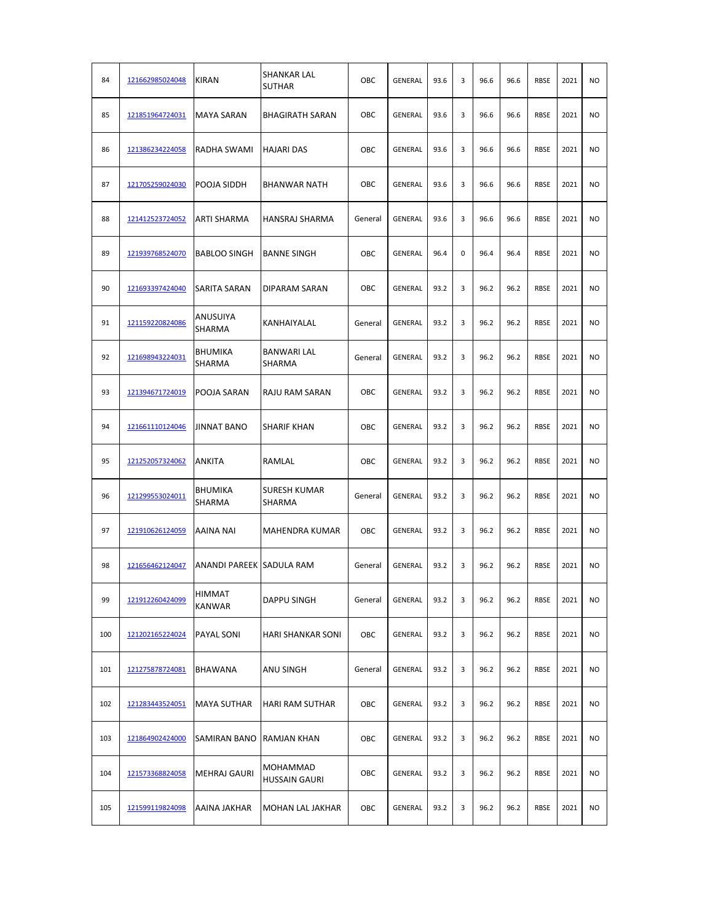| 84  | 121662985024048 | <b>KIRAN</b>             | <b>SHANKAR LAL</b><br><b>SUTHAR</b> | OBC     | GENERAL | 93.6 | 3 | 96.6 | 96.6 | <b>RBSE</b> | 2021 | <b>NO</b>      |
|-----|-----------------|--------------------------|-------------------------------------|---------|---------|------|---|------|------|-------------|------|----------------|
| 85  | 121851964724031 | <b>MAYA SARAN</b>        | <b>BHAGIRATH SARAN</b>              | OBC     | GENERAL | 93.6 | 3 | 96.6 | 96.6 | <b>RBSE</b> | 2021 | <b>NO</b>      |
| 86  | 121386234224058 | <b>RADHA SWAMI</b>       | HAJARI DAS                          | OBC     | GENERAL | 93.6 | 3 | 96.6 | 96.6 | <b>RBSE</b> | 2021 | <b>NO</b>      |
| 87  | 121705259024030 | POOJA SIDDH              | <b>BHANWAR NATH</b>                 | OBC     | GENERAL | 93.6 | 3 | 96.6 | 96.6 | <b>RBSE</b> | 2021 | <b>NO</b>      |
| 88  | 121412523724052 | ARTI SHARMA              | HANSRAJ SHARMA                      | General | GENERAL | 93.6 | 3 | 96.6 | 96.6 | <b>RBSE</b> | 2021 | <b>NO</b>      |
| 89  | 121939768524070 | <b>BABLOO SINGH</b>      | <b>BANNE SINGH</b>                  | OBC     | GENERAL | 96.4 | 0 | 96.4 | 96.4 | <b>RBSE</b> | 2021 | <b>NO</b>      |
| 90  | 121693397424040 | SARITA SARAN             | DIPARAM SARAN                       | OBC     | GENERAL | 93.2 | 3 | 96.2 | 96.2 | <b>RBSE</b> | 2021 | <b>NO</b>      |
| 91  | 121159220824086 | ANUSUIYA<br>SHARMA       | KANHAIYALAL                         | General | GENERAL | 93.2 | 3 | 96.2 | 96.2 | <b>RBSE</b> | 2021 | <b>NO</b>      |
| 92  | 121698943224031 | <b>BHUMIKA</b><br>SHARMA | <b>BANWARI LAL</b><br>SHARMA        | General | GENERAL | 93.2 | 3 | 96.2 | 96.2 | <b>RBSE</b> | 2021 | <b>NO</b>      |
| 93  | 121394671724019 | POOJA SARAN              | RAJU RAM SARAN                      | OBC     | GENERAL | 93.2 | 3 | 96.2 | 96.2 | <b>RBSE</b> | 2021 | <b>NO</b>      |
| 94  | 121661110124046 | <b>JINNAT BANO</b>       | <b>SHARIF KHAN</b>                  | OBC     | GENERAL | 93.2 | 3 | 96.2 | 96.2 | <b>RBSE</b> | 2021 | <b>NO</b>      |
| 95  | 121252057324062 | ANKITA                   | RAMLAL                              | OBC     | GENERAL | 93.2 | 3 | 96.2 | 96.2 | <b>RBSE</b> | 2021 | <b>NO</b>      |
| 96  | 121299553024011 | <b>BHUMIKA</b><br>SHARMA | <b>SURESH KUMAR</b><br>SHARMA       | General | GENERAL | 93.2 | 3 | 96.2 | 96.2 | RBSE        | 2021 | N <sub>O</sub> |
| 97  | 121910626124059 | AAINA NAI                | MAHENDRA KUMAR                      | OBC     | GENERAL | 93.2 | 3 | 96.2 | 96.2 | RBSE        | 2021 | N <sub>O</sub> |
| 98  | 121656462124047 | ANANDI PAREEK SADULA RAM |                                     | General | GENERAL | 93.2 | 3 | 96.2 | 96.2 | <b>RBSE</b> | 2021 | <b>NO</b>      |
| 99  | 121912260424099 | <b>HIMMAT</b><br>KANWAR  | DAPPU SINGH                         | General | GENERAL | 93.2 | 3 | 96.2 | 96.2 | RBSE        | 2021 | <b>NO</b>      |
| 100 | 121202165224024 | PAYAL SONI               | HARI SHANKAR SONI                   | OBC     | GENERAL | 93.2 | 3 | 96.2 | 96.2 | RBSE        | 2021 | <b>NO</b>      |
| 101 | 121275878724081 | BHAWANA                  | ANU SINGH                           | General | GENERAL | 93.2 | 3 | 96.2 | 96.2 | RBSE        | 2021 | <b>NO</b>      |
| 102 | 121283443524051 | <b>MAYA SUTHAR</b>       | <b>HARI RAM SUTHAR</b>              | OBC     | GENERAL | 93.2 | 3 | 96.2 | 96.2 | RBSE        | 2021 | <b>NO</b>      |
| 103 | 121864902424000 | SAMIRAN BANO             | RAMJAN KHAN                         | OBC     | GENERAL | 93.2 | 3 | 96.2 | 96.2 | RBSE        | 2021 | NO.            |
| 104 | 121573368824058 | <b>MEHRAJ GAURI</b>      | MOHAMMAD<br><b>HUSSAIN GAURI</b>    | OBC     | GENERAL | 93.2 | 3 | 96.2 | 96.2 | RBSE        | 2021 | NO.            |
| 105 | 121599119824098 | AAINA JAKHAR             | MOHAN LAL JAKHAR                    | OBC     | GENERAL | 93.2 | 3 | 96.2 | 96.2 | RBSE        | 2021 | NO.            |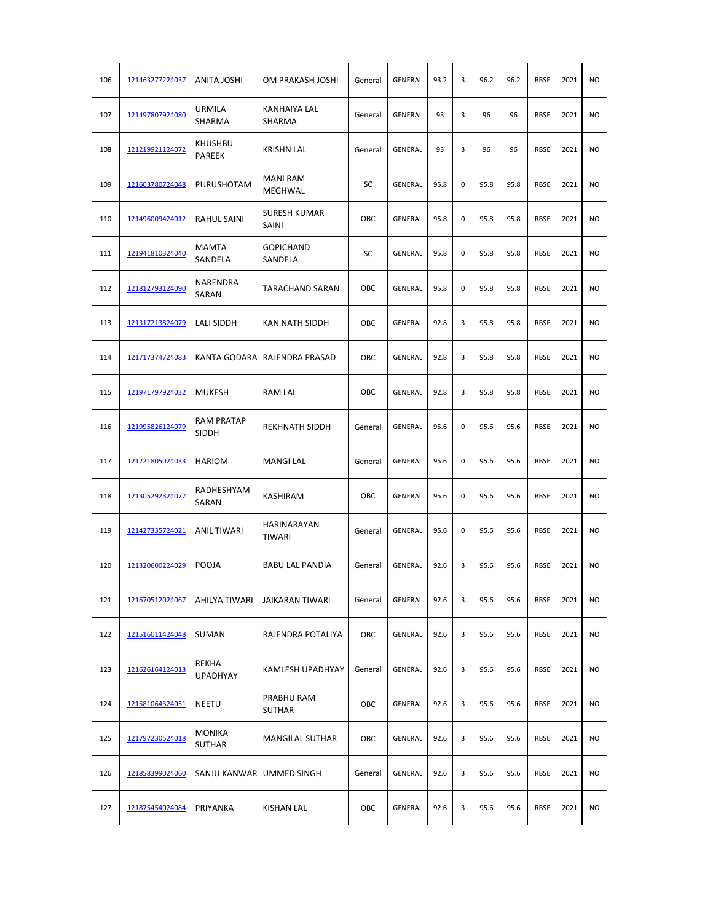| 106 | 121463277224037 | ANITA JOSHI                    | OM PRAKASH JOSHI              | General | <b>GENERAL</b> | 93.2 | 3 | 96.2 | 96.2 | <b>RBSE</b> | 2021 | <b>NO</b>      |
|-----|-----------------|--------------------------------|-------------------------------|---------|----------------|------|---|------|------|-------------|------|----------------|
| 107 | 121497807924080 | <b>URMILA</b><br>SHARMA        | KANHAIYA LAL<br><b>SHARMA</b> | General | GENERAL        | 93   | 3 | 96   | 96   | <b>RBSE</b> | 2021 | N <sub>O</sub> |
| 108 | 121219921124072 | KHUSHBU<br>PAREEK              | <b>KRISHN LAL</b>             | General | GENERAL        | 93   | 3 | 96   | 96   | <b>RBSE</b> | 2021 | N <sub>O</sub> |
| 109 | 121603780724048 | <b>PURUSHOTAM</b>              | <b>MANI RAM</b><br>MEGHWAL    | SC      | GENERAL        | 95.8 | 0 | 95.8 | 95.8 | <b>RBSE</b> | 2021 | <b>NO</b>      |
| 110 | 121496009424012 | RAHUL SAINI                    | <b>SURESH KUMAR</b><br>SAINI  | OBC     | GENERAL        | 95.8 | 0 | 95.8 | 95.8 | <b>RBSE</b> | 2021 | <b>NO</b>      |
| 111 | 121941810324040 | MAMTA<br>SANDELA               | <b>GOPICHAND</b><br>SANDELA   | SC      | GENERAL        | 95.8 | 0 | 95.8 | 95.8 | <b>RBSE</b> | 2021 | <b>NO</b>      |
| 112 | 121812793124090 | NARENDRA<br>SARAN              | <b>TARACHAND SARAN</b>        | OBC     | GENERAL        | 95.8 | 0 | 95.8 | 95.8 | <b>RBSE</b> | 2021 | N <sub>O</sub> |
| 113 | 121317213824079 | LALI SIDDH                     | KAN NATH SIDDH                | OBC     | GENERAL        | 92.8 | 3 | 95.8 | 95.8 | <b>RBSE</b> | 2021 | N <sub>O</sub> |
| 114 | 121717374724083 | KANTA GODARA                   | <b>RAJENDRA PRASAD</b>        | OBC     | GENERAL        | 92.8 | 3 | 95.8 | 95.8 | <b>RBSE</b> | 2021 | N <sub>O</sub> |
| 115 | 121971797924032 | MUKESH                         | <b>RAM LAL</b>                | OBC     | <b>GENERAL</b> | 92.8 | 3 | 95.8 | 95.8 | <b>RBSE</b> | 2021 | <b>NO</b>      |
| 116 | 121995826124079 | RAM PRATAP<br>SIDDH            | <b>REKHNATH SIDDH</b>         | General | GENERAL        | 95.6 | 0 | 95.6 | 95.6 | <b>RBSE</b> | 2021 | NO             |
| 117 | 121221805024033 | <b>HARIOM</b>                  | <b>MANGI LAL</b>              | General | GENERAL        | 95.6 | 0 | 95.6 | 95.6 | <b>RBSE</b> | 2021 | <b>NO</b>      |
| 118 | 121305292324077 | RADHESHYAM<br>SARAN            | KASHIRAM                      | OBC     | GENERAL        | 95.6 | 0 | 95.6 | 95.6 | <b>RBSE</b> | 2021 | <b>NO</b>      |
| 119 | 121427335724021 | ANIL TIWARI                    | HARINARAYAN<br><b>TIWARI</b>  | General | <b>GENERAL</b> | 95.6 | 0 | 95.6 | 95.6 | <b>RBSE</b> | 2021 | <b>NO</b>      |
| 120 | 121320600224029 | <b>POOJA</b>                   | <b>BABU LAL PANDIA</b>        | General | GENERAL        | 92.6 | 3 | 95.6 | 95.6 | <b>RBSE</b> | 2021 | N <sub>O</sub> |
| 121 | 121670512024067 | AHILYA TIWARI                  | JAIKARAN TIWARI               | General | GENERAL        | 92.6 | 3 | 95.6 | 95.6 | <b>RBSE</b> | 2021 | <b>NO</b>      |
| 122 | 121516011424048 | <b>SUMAN</b>                   | RAJENDRA POTALIYA             | OBC     | GENERAL        | 92.6 | 3 | 95.6 | 95.6 | <b>RBSE</b> | 2021 | NO.            |
| 123 | 121626164124013 | REKHA<br>UPADHYAY              | KAMLESH UPADHYAY              | General | GENERAL        | 92.6 | 3 | 95.6 | 95.6 | RBSE        | 2021 | <b>NO</b>      |
| 124 | 121581064324051 | <b>NEETU</b>                   | PRABHU RAM<br><b>SUTHAR</b>   | OBC     | GENERAL        | 92.6 | 3 | 95.6 | 95.6 | RBSE        | 2021 | <b>NO</b>      |
| 125 | 121797230524018 | <b>MONIKA</b><br><b>SUTHAR</b> | MANGILAL SUTHAR               | OBC     | GENERAL        | 92.6 | 3 | 95.6 | 95.6 | RBSE        | 2021 | <b>NO</b>      |
| 126 | 121858399024060 | SANJU KANWAR                   | <b>UMMED SINGH</b>            | General | GENERAL        | 92.6 | 3 | 95.6 | 95.6 | <b>RBSE</b> | 2021 | <b>NO</b>      |
| 127 | 121875454024084 | PRIYANKA                       | <b>KISHAN LAL</b>             | OBC     | GENERAL        | 92.6 | 3 | 95.6 | 95.6 | <b>RBSE</b> | 2021 | NO.            |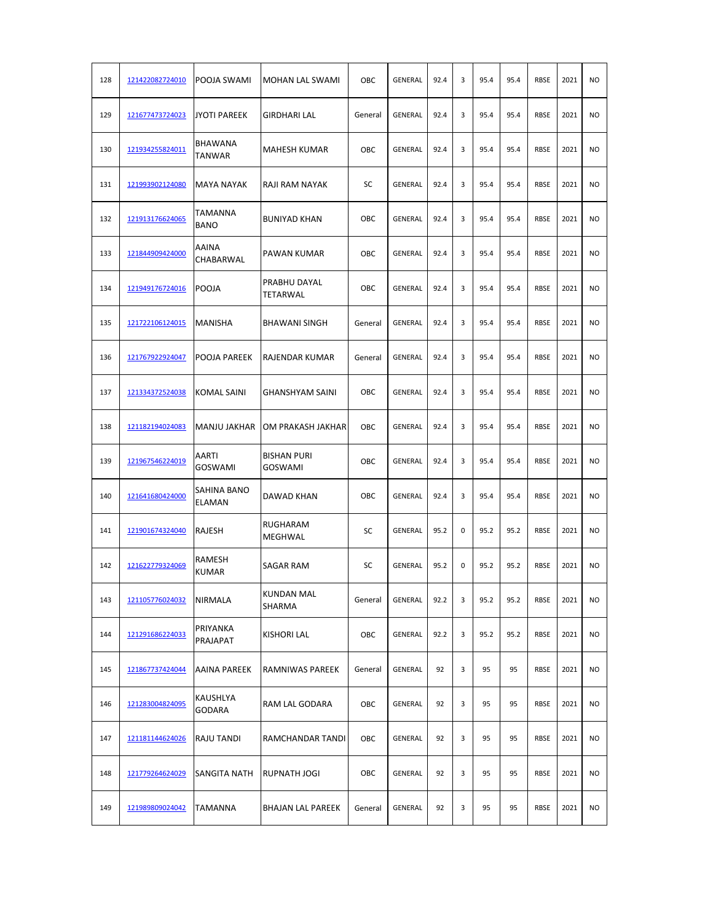| 128 | 121422082724010 | POOJA SWAMI               | MOHAN LAL SWAMI                      | OBC     | GENERAL | 92.4 | 3 | 95.4 | 95.4 | <b>RBSE</b> | 2021 | <b>NO</b>      |
|-----|-----------------|---------------------------|--------------------------------------|---------|---------|------|---|------|------|-------------|------|----------------|
| 129 | 121677473724023 | <b>JYOTI PAREEK</b>       | GIRDHARI LAL                         | General | GENERAL | 92.4 | 3 | 95.4 | 95.4 | <b>RBSE</b> | 2021 | <b>NO</b>      |
| 130 | 121934255824011 | BHAWANA<br>TANWAR         | <b>MAHESH KUMAR</b>                  | OBC     | GENERAL | 92.4 | 3 | 95.4 | 95.4 | <b>RBSE</b> | 2021 | <b>NO</b>      |
| 131 | 121993902124080 | MAYA NAYAK                | RAJI RAM NAYAK                       | SC      | GENERAL | 92.4 | 3 | 95.4 | 95.4 | <b>RBSE</b> | 2021 | <b>NO</b>      |
| 132 | 121913176624065 | TAMANNA<br><b>BANO</b>    | <b>BUNIYAD KHAN</b>                  | OBC     | GENERAL | 92.4 | 3 | 95.4 | 95.4 | <b>RBSE</b> | 2021 | <b>NO</b>      |
| 133 | 121844909424000 | AAINA<br>CHABARWAL        | PAWAN KUMAR                          | OBC     | GENERAL | 92.4 | 3 | 95.4 | 95.4 | <b>RBSE</b> | 2021 | <b>NO</b>      |
| 134 | 121949176724016 | <b>POOJA</b>              | PRABHU DAYAL<br>TETARWAL             | OBC     | GENERAL | 92.4 | 3 | 95.4 | 95.4 | <b>RBSE</b> | 2021 | N <sub>O</sub> |
| 135 | 121722106124015 | MANISHA                   | <b>BHAWANI SINGH</b>                 | General | GENERAL | 92.4 | 3 | 95.4 | 95.4 | <b>RBSE</b> | 2021 | N <sub>O</sub> |
| 136 | 121767922924047 | POOJA PAREEK              | RAJENDAR KUMAR                       | General | GENERAL | 92.4 | 3 | 95.4 | 95.4 | <b>RBSE</b> | 2021 | <b>NO</b>      |
| 137 | 121334372524038 | KOMAL SAINI               | <b>GHANSHYAM SAINI</b>               | OBC     | GENERAL | 92.4 | 3 | 95.4 | 95.4 | <b>RBSE</b> | 2021 | <b>NO</b>      |
| 138 | 121182194024083 | <b>MANJU JAKHAR</b>       | OM PRAKASH JAKHAR                    | OBC     | GENERAL | 92.4 | 3 | 95.4 | 95.4 | <b>RBSE</b> | 2021 | <b>NO</b>      |
| 139 | 121967546224019 | AARTI<br>GOSWAMI          | <b>BISHAN PURI</b><br><b>GOSWAMI</b> | OBC     | GENERAL | 92.4 | 3 | 95.4 | 95.4 | <b>RBSE</b> | 2021 | <b>NO</b>      |
| 140 | 121641680424000 | SAHINA BANO<br>ELAMAN     | DAWAD KHAN                           | OBC     | GENERAL | 92.4 | 3 | 95.4 | 95.4 | <b>RBSE</b> | 2021 | N <sub>O</sub> |
| 141 | 121901674324040 | RAJESH                    | RUGHARAM<br>MEGHWAL                  | SC      | GENERAL | 95.2 | 0 | 95.2 | 95.2 | <b>RBSE</b> | 2021 | N <sub>O</sub> |
| 142 | 121622779324069 | RAMESH<br><b>KUMAR</b>    | SAGAR RAM                            | SC      | GENERAL | 95.2 | 0 | 95.2 | 95.2 | <b>RBSE</b> | 2021 | <b>NO</b>      |
| 143 | 121105776024032 | NIRMALA                   | <b>KUNDAN MAL</b><br>SHARMA          | General | GENERAL | 92.2 | 3 | 95.2 | 95.2 | RBSE        | 2021 | <b>NO</b>      |
| 144 | 121291686224033 | PRIYANKA<br>PRAJAPAT      | KISHORI LAL                          | OBC     | GENERAL | 92.2 | 3 | 95.2 | 95.2 | RBSE        | 2021 | <b>NO</b>      |
| 145 | 121867737424044 | AAINA PAREEK              | RAMNIWAS PAREEK                      | General | GENERAL | 92   | 3 | 95   | 95   | RBSE        | 2021 | <b>NO</b>      |
| 146 | 121283004824095 | KAUSHLYA<br><b>GODARA</b> | RAM LAL GODARA                       | OBC     | GENERAL | 92   | 3 | 95   | 95   | RBSE        | 2021 | <b>NO</b>      |
| 147 | 121181144624026 | RAJU TANDI                | RAMCHANDAR TANDI                     | OBC     | GENERAL | 92   | 3 | 95   | 95   | RBSE        | 2021 | <b>NO</b>      |
| 148 | 121779264624029 | SANGITA NATH              | RUPNATH JOGI                         | OBC     | GENERAL | 92   | 3 | 95   | 95   | RBSE        | 2021 | <b>NO</b>      |
| 149 | 121989809024042 | TAMANNA                   | BHAJAN LAL PAREEK                    | General | GENERAL | 92   | 3 | 95   | 95   | RBSE        | 2021 | <b>NO</b>      |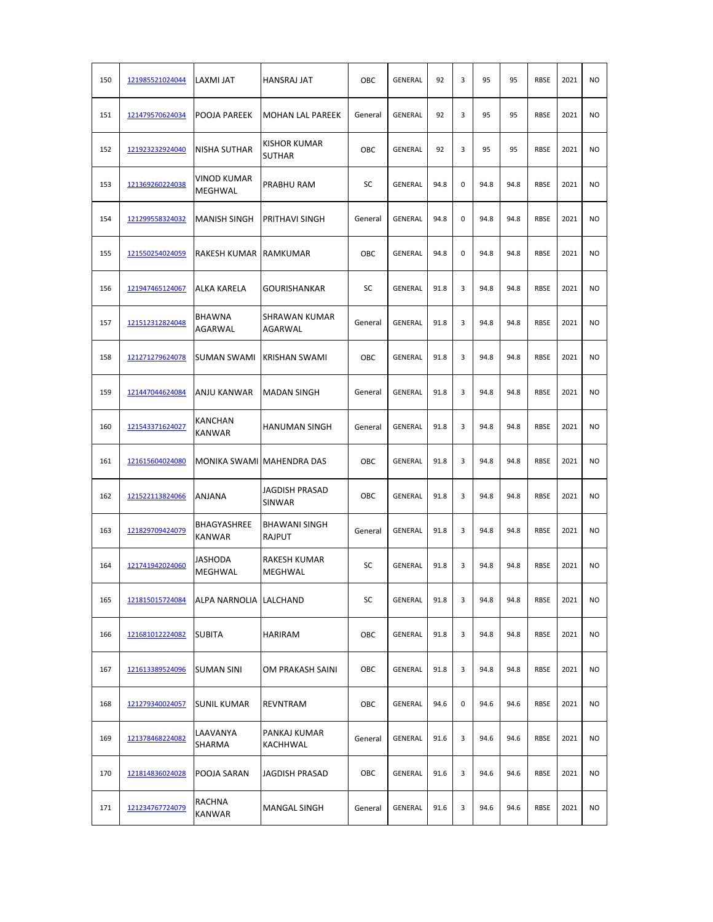| 150 | 121985521024044 | LAXMI JAT                           | <b>HANSRAJ JAT</b>              | OBC     | GENERAL        | 92   | 3 | 95   | 95   | <b>RBSE</b> | 2021 | <b>NO</b>      |
|-----|-----------------|-------------------------------------|---------------------------------|---------|----------------|------|---|------|------|-------------|------|----------------|
| 151 | 121479570624034 | POOJA PAREEK                        | <b>MOHAN LAL PAREEK</b>         | General | GENERAL        | 92   | 3 | 95   | 95   | <b>RBSE</b> | 2021 | <b>NO</b>      |
| 152 | 121923232924040 | <b>NISHA SUTHAR</b>                 | KISHOR KUMAR<br><b>SUTHAR</b>   | OBC     | <b>GENERAL</b> | 92   | 3 | 95   | 95   | <b>RBSE</b> | 2021 | <b>NO</b>      |
| 153 | 121369260224038 | VINOD KUMAR<br>MEGHWAL              | PRABHU RAM                      | SC      | GENERAL        | 94.8 | 0 | 94.8 | 94.8 | <b>RBSE</b> | 2021 | <b>NO</b>      |
| 154 | 121299558324032 | <b>MANISH SINGH</b>                 | PRITHAVI SINGH                  | General | GENERAL        | 94.8 | 0 | 94.8 | 94.8 | <b>RBSE</b> | 2021 | <b>NO</b>      |
| 155 | 121550254024059 | RAKESH KUMAR                        | RAMKUMAR                        | OBC     | GENERAL        | 94.8 | 0 | 94.8 | 94.8 | <b>RBSE</b> | 2021 | N <sub>O</sub> |
| 156 | 121947465124067 | <b>ALKA KARELA</b>                  | GOURISHANKAR                    | SC      | GENERAL        | 91.8 | 3 | 94.8 | 94.8 | <b>RBSE</b> | 2021 | <b>NO</b>      |
| 157 | 121512312824048 | <b>BHAWNA</b><br><b>AGARWAL</b>     | SHRAWAN KUMAR<br>AGARWAL        | General | GENERAL        | 91.8 | 3 | 94.8 | 94.8 | <b>RBSE</b> | 2021 | <b>NO</b>      |
| 158 | 121271279624078 | <b>SUMAN SWAMI</b>                  | <b>KRISHAN SWAMI</b>            | OBC     | GENERAL        | 91.8 | 3 | 94.8 | 94.8 | <b>RBSE</b> | 2021 | <b>NO</b>      |
| 159 | 121447044624084 | <b>ANJU KANWAR</b>                  | <b>MADAN SINGH</b>              | General | GENERAL        | 91.8 | 3 | 94.8 | 94.8 | <b>RBSE</b> | 2021 | <b>NO</b>      |
| 160 | 121543371624027 | KANCHAN<br>KANWAR                   | <b>HANUMAN SINGH</b>            | General | GENERAL        | 91.8 | 3 | 94.8 | 94.8 | <b>RBSE</b> | 2021 | <b>NO</b>      |
| 161 | 121615604024080 |                                     | MONIKA SWAMI MAHENDRA DAS       | OBC     | GENERAL        | 91.8 | 3 | 94.8 | 94.8 | RBSE        | 2021 | N <sub>O</sub> |
| 162 | 121522113824066 | ANJANA                              | <b>JAGDISH PRASAD</b><br>SINWAR | OBC     | GENERAL        | 91.8 | 3 | 94.8 | 94.8 | <b>RBSE</b> | 2021 | NO             |
| 163 | 121829709424079 | <b>BHAGYASHREE</b><br><b>KANWAR</b> | <b>BHAWANI SINGH</b><br>RAJPUT  | General | GENERAL        | 91.8 | 3 | 94.8 | 94.8 | <b>RBSE</b> | 2021 | NO             |
| 164 | 121741942024060 | JASHODA<br>MEGHWAL                  | <b>RAKESH KUMAR</b><br>MEGHWAL  | SC      | GENERAL        | 91.8 | 3 | 94.8 | 94.8 | <b>RBSE</b> | 2021 | <b>NO</b>      |
| 165 | 121815015724084 | ALPA NARNOLIA LALCHAND              |                                 | SC      | GENERAL        | 91.8 | 3 | 94.8 | 94.8 | RBSE        | 2021 | <b>NO</b>      |
| 166 | 121681012224082 | <b>SUBITA</b>                       | HARIRAM                         | OBC     | GENERAL        | 91.8 | 3 | 94.8 | 94.8 | RBSE        | 2021 | <b>NO</b>      |
| 167 | 121613389524096 | <b>SUMAN SINI</b>                   | OM PRAKASH SAINI                | OBC     | GENERAL        | 91.8 | 3 | 94.8 | 94.8 | <b>RBSE</b> | 2021 | <b>NO</b>      |
| 168 | 121279340024057 | <b>SUNIL KUMAR</b>                  | REVNTRAM                        | OBC     | GENERAL        | 94.6 | 0 | 94.6 | 94.6 | <b>RBSE</b> | 2021 | NO.            |
| 169 | 121378468224082 | LAAVANYA<br>SHARMA                  | PANKAJ KUMAR<br>KACHHWAL        | General | GENERAL        | 91.6 | 3 | 94.6 | 94.6 | <b>RBSE</b> | 2021 | <b>NO</b>      |
| 170 | 121814836024028 | POOJA SARAN                         | JAGDISH PRASAD                  | OBC     | GENERAL        | 91.6 | 3 | 94.6 | 94.6 | RBSE        | 2021 | <b>NO</b>      |
| 171 | 121234767724079 | RACHNA<br>KANWAR                    | MANGAL SINGH                    | General | GENERAL        | 91.6 | 3 | 94.6 | 94.6 | RBSE        | 2021 | <b>NO</b>      |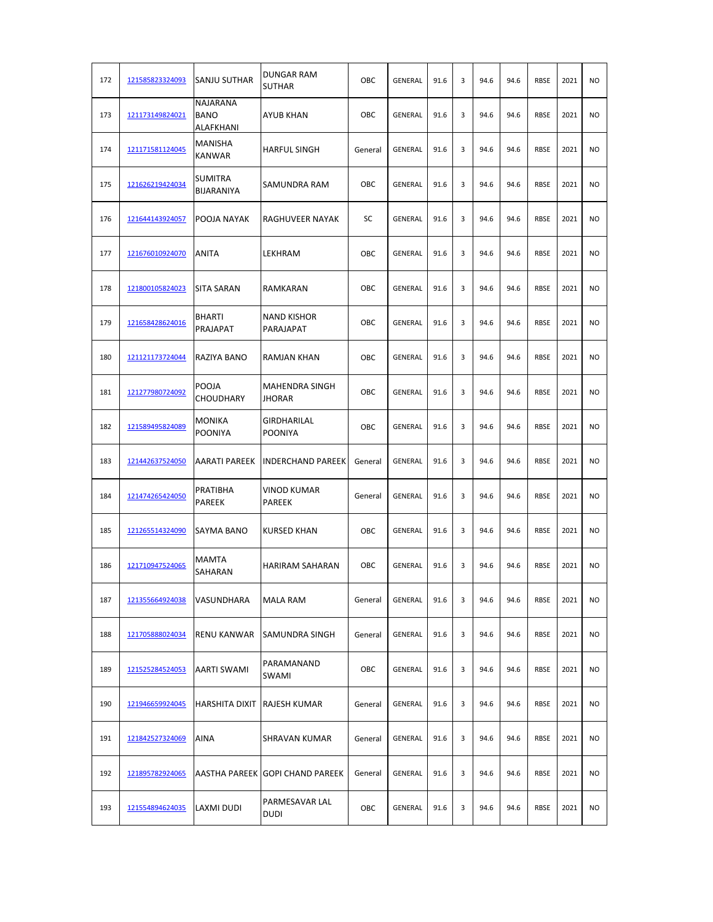| 172 | 121585823324093 | SANJU SUTHAR                         | DUNGAR RAM<br><b>SUTHAR</b>     | OBC     | GENERAL        | 91.6 | 3 | 94.6 | 94.6 | <b>RBSE</b> | 2021 | <b>NO</b>      |
|-----|-----------------|--------------------------------------|---------------------------------|---------|----------------|------|---|------|------|-------------|------|----------------|
| 173 | 121173149824021 | NAJARANA<br><b>BANO</b><br>ALAFKHANI | <b>AYUB KHAN</b>                | OBC     | GENERAL        | 91.6 | 3 | 94.6 | 94.6 | <b>RBSE</b> | 2021 | N <sub>O</sub> |
| 174 | 121171581124045 | MANISHA<br>KANWAR                    | <b>HARFUL SINGH</b>             | General | GENERAL        | 91.6 | 3 | 94.6 | 94.6 | <b>RBSE</b> | 2021 | <b>NO</b>      |
| 175 | 121626219424034 | SUMITRA<br>BIJARANIYA                | SAMUNDRA RAM                    | OBC     | GENERAL        | 91.6 | 3 | 94.6 | 94.6 | <b>RBSE</b> | 2021 | <b>NO</b>      |
| 176 | 121644143924057 | POOJA NAYAK                          | RAGHUVEER NAYAK                 | SC      | GENERAL        | 91.6 | 3 | 94.6 | 94.6 | <b>RBSE</b> | 2021 | <b>NO</b>      |
| 177 | 121676010924070 | ANITA                                | LEKHRAM                         | OBC     | GENERAL        | 91.6 | 3 | 94.6 | 94.6 | <b>RBSE</b> | 2021 | <b>NO</b>      |
| 178 | 121800105824023 | SITA SARAN                           | RAMKARAN                        | OBC     | GENERAL        | 91.6 | 3 | 94.6 | 94.6 | <b>RBSE</b> | 2021 | <b>NO</b>      |
| 179 | 121658428624016 | <b>BHARTI</b><br>PRAJAPAT            | <b>NAND KISHOR</b><br>PARAJAPAT | OBC     | GENERAL        | 91.6 | 3 | 94.6 | 94.6 | <b>RBSE</b> | 2021 | <b>NO</b>      |
| 180 | 121121173724044 | RAZIYA BANO                          | RAMJAN KHAN                     | OBC     | GENERAL        | 91.6 | 3 | 94.6 | 94.6 | <b>RBSE</b> | 2021 | N <sub>O</sub> |
| 181 | 121277980724092 | POOJA<br><b>CHOUDHARY</b>            | <b>MAHENDRA SINGH</b><br>JHORAR | OBC     | <b>GENERAL</b> | 91.6 | 3 | 94.6 | 94.6 | <b>RBSE</b> | 2021 | <b>NO</b>      |
| 182 | 121589495824089 | MONIKA<br><b>POONIYA</b>             | GIRDHARILAL<br><b>POONIYA</b>   | OBC     | GENERAL        | 91.6 | 3 | 94.6 | 94.6 | <b>RBSE</b> | 2021 | <b>NO</b>      |
| 183 | 121442637524050 | AARATI PAREEK                        | <b>INDERCHAND PAREEK</b>        | General | GENERAL        | 91.6 | 3 | 94.6 | 94.6 | <b>RBSE</b> | 2021 | <b>NO</b>      |
| 184 | 121474265424050 | PRATIBHA<br>PAREEK                   | VINOD KUMAR<br>PAREEK           | General | GENERAL        | 91.6 | 3 | 94.6 | 94.6 | <b>RBSE</b> | 2021 | <b>NO</b>      |
| 185 | 121265514324090 | SAYMA BANO                           | <b>KURSED KHAN</b>              | OBC     | <b>GENERAL</b> | 91.6 | 3 | 94.6 | 94.6 | <b>RBSE</b> | 2021 | <b>NO</b>      |
| 186 | 121710947524065 | <b>MAMTA</b><br>SAHARAN              | <b>HARIRAM SAHARAN</b>          | OBC     | <b>GENERAL</b> | 91.6 | 3 | 94.6 | 94.6 | RBSE        | 2021 | N <sub>O</sub> |
| 187 | 121355664924038 | VASUNDHARA                           | MALA RAM                        | General | GENERAL        | 91.6 | 3 | 94.6 | 94.6 | <b>RBSE</b> | 2021 | NO             |
| 188 | 121705888024034 | <b>RENU KANWAR</b>                   | <b>SAMUNDRA SINGH</b>           | General | GENERAL        | 91.6 | 3 | 94.6 | 94.6 | <b>RBSE</b> | 2021 | NO.            |
| 189 | 121525284524053 | AARTI SWAMI                          | PARAMANAND<br>SWAMI             | OBC     | GENERAL        | 91.6 | 3 | 94.6 | 94.6 | RBSE        | 2021 | <b>NO</b>      |
| 190 | 121946659924045 | <b>HARSHITA DIXIT</b>                | <b>RAJESH KUMAR</b>             | General | GENERAL        | 91.6 | 3 | 94.6 | 94.6 | RBSE        | 2021 | <b>NO</b>      |
| 191 | 121842527324069 | AINA                                 | SHRAVAN KUMAR                   | General | GENERAL        | 91.6 | 3 | 94.6 | 94.6 | RBSE        | 2021 | <b>NO</b>      |
| 192 | 121895782924065 | AASTHA PAREEK                        | <b>GOPI CHAND PAREEK</b>        | General | GENERAL        | 91.6 | 3 | 94.6 | 94.6 | <b>RBSE</b> | 2021 | <b>NO</b>      |
| 193 | 121554894624035 | LAXMI DUDI                           | PARMESAVAR LAL<br><b>DUDI</b>   | OBC     | GENERAL        | 91.6 | 3 | 94.6 | 94.6 | RBSE        | 2021 | NO.            |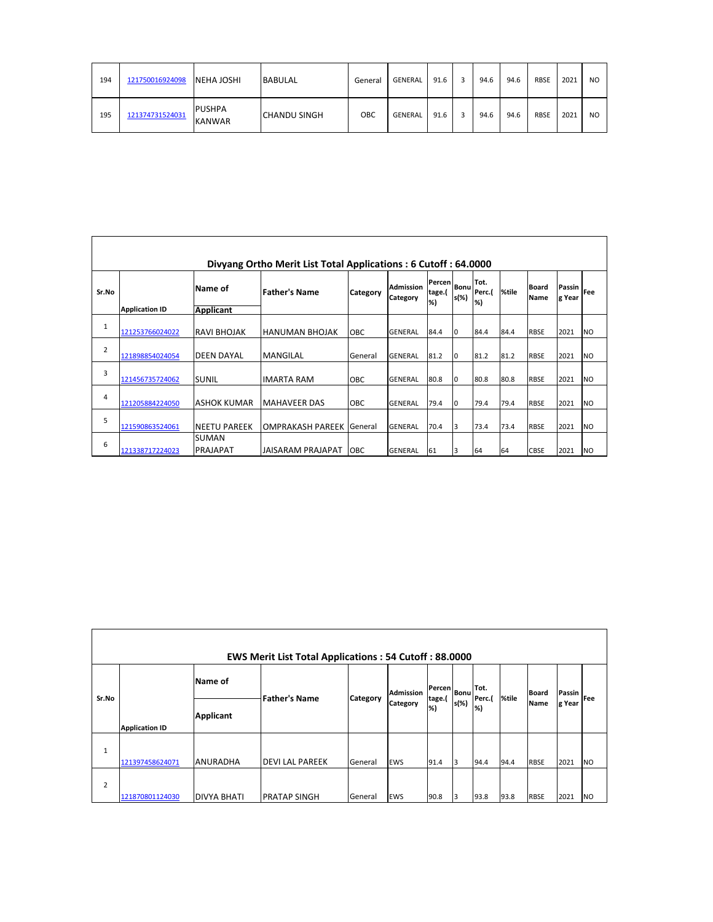| 194 | 121750016924098 | <b>INEHA JOSHI</b>             | <b>BABULAL</b> | General | GENERAL | 91.6 | 94.6 | 94.6 | <b>RBSE</b> | 2021 | N <sub>O</sub> |
|-----|-----------------|--------------------------------|----------------|---------|---------|------|------|------|-------------|------|----------------|
| 195 | 121374731524031 | <b>PUSHPA</b><br><b>KANWAR</b> | ICHANDU SINGH  | OBC     | GENERAL | 91.6 | 94.6 | 94.6 | <b>RBSE</b> | 2021 | N <sub>O</sub> |

|                |                       |                                 | Divyang Ortho Merit List Total Applications: 6 Cutoff: 64.0000 |            |                              |                              |                     |                      |       |                             |                  |           |
|----------------|-----------------------|---------------------------------|----------------------------------------------------------------|------------|------------------------------|------------------------------|---------------------|----------------------|-------|-----------------------------|------------------|-----------|
| Sr.No          |                       | Name of                         | <b>Father's Name</b>                                           | Category   | <b>Admission</b><br>Category | <b>Percen</b><br>tage.(<br>% | <b>Bonu</b><br>s(%) | Tot.<br>Perc.(<br>%) | %tile | <b>Board</b><br><b>Name</b> | Passin<br>g Year | Fee       |
|                | <b>Application ID</b> | Applicant                       |                                                                |            |                              |                              |                     |                      |       |                             |                  |           |
| 1              | 121253766024022       | RAVI BHOJAK                     | <b>HANUMAN BHOJAK</b>                                          | OBC        | <b>GENERAL</b>               | 84.4                         | lo                  | 84.4                 | 84.4  | <b>RBSE</b>                 | 2021             | <b>NO</b> |
| $\overline{2}$ | 121898854024054       | <b>DEEN DAYAL</b>               | <b>MANGILAL</b>                                                | General    | <b>GENERAL</b>               | 81.2                         | lo                  | 81.2                 | 81.2  | <b>RBSE</b>                 | 2021             | <b>NO</b> |
| 3              | 121456735724062       | <b>SUNIL</b>                    | <b>IMARTA RAM</b>                                              | <b>OBC</b> | <b>GENERAL</b>               | 80.8                         | lo                  | 80.8                 | 80.8  | <b>RBSE</b>                 | 2021             | <b>NO</b> |
| 4              | 121205884224050       | <b>ASHOK KUMAR</b>              | <b>MAHAVEER DAS</b>                                            | OBC        | <b>GENERAL</b>               | 79.4                         | lo                  | 79.4                 | 79.4  | <b>RBSE</b>                 | 2021             | <b>NO</b> |
| 5              | 121590863524061       | <b>NEETU PAREEK</b>             | <b>OMPRAKASH PAREEK</b>                                        | General    | <b>GENERAL</b>               | 70.4                         | 13                  | 73.4                 | 73.4  | <b>RBSE</b>                 | 2021             | <b>NO</b> |
| 6              | 121338717224023       | <b>SUMAN</b><br><b>PRAJAPAT</b> | <b>JAISARAM PRAJAPAT</b>                                       | OBC        | <b>GENERAL</b>               | 61                           | 3                   | 64                   | 64    | <b>CBSE</b>                 | 2021             | <b>NO</b> |

|                | <b>EWS Merit List Total Applications: 54 Cutoff: 88.0000</b> |                    |                       |          |                  |               |             |             |       |              |        |            |  |  |
|----------------|--------------------------------------------------------------|--------------------|-----------------------|----------|------------------|---------------|-------------|-------------|-------|--------------|--------|------------|--|--|
| Sr.No          |                                                              | Name of            |                       |          | <b>Admission</b> | <b>Percen</b> | <b>Bonu</b> | Tot.        |       | <b>Board</b> | Passin |            |  |  |
|                | <b>Application ID</b>                                        | <b>Applicant</b>   | <b>Father's Name</b>  | Category | Category         | tage.(<br>%)  | s(%)        | Perc.(<br>% | %tile | Name         | g Year | <b>Fee</b> |  |  |
| 1              | 121397458624071                                              | <b>ANURADHA</b>    | <b>DEVILAL PAREEK</b> | General  | <b>EWS</b>       | 91.4          | 13          | 94.4        | 94.4  | <b>RBSE</b>  | 2021   | <b>NO</b>  |  |  |
| $\overline{2}$ | 121870801124030                                              | <b>DIVYA BHATI</b> | <b>PRATAP SINGH</b>   | General  | <b>EWS</b>       | 90.8          | 3           | 93.8        | 93.8  | <b>RBSE</b>  | 2021   | <b>NO</b>  |  |  |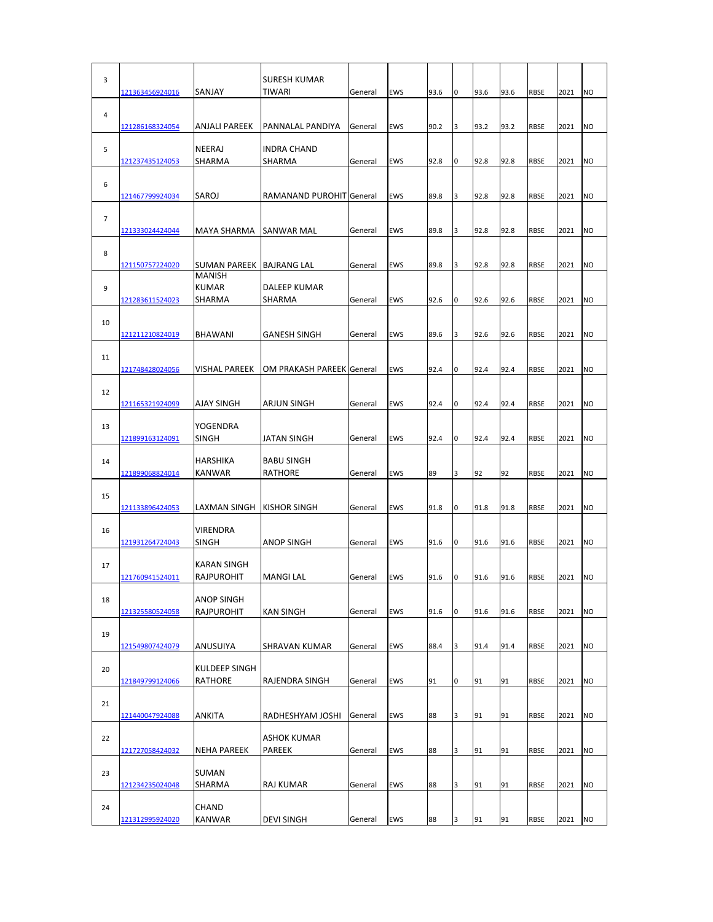| 3              | 121363456924016        | SANJAY                                        | SURESH KUMAR<br>TIWARI             | General | EWS        | 93.6 | 0 | 93.6 | 93.6 | <b>RBSE</b> | 2021 | N <sub>O</sub> |
|----------------|------------------------|-----------------------------------------------|------------------------------------|---------|------------|------|---|------|------|-------------|------|----------------|
| 4              | 121286168324054        | ANJALI PAREEK                                 | PANNALAL PANDIYA                   | General | EWS        | 90.2 | 3 | 93.2 | 93.2 | <b>RBSE</b> | 2021 | <b>NO</b>      |
| 5              | 121237435124053        | <b>NEERAJ</b><br>SHARMA                       | <b>INDRA CHAND</b><br>SHARMA       | General | EWS        | 92.8 | 0 | 92.8 | 92.8 | <b>RBSE</b> | 2021 | <b>NO</b>      |
| 6              |                        |                                               |                                    |         |            |      |   |      |      |             |      |                |
| $\overline{7}$ | 121467799924034        | SAROJ                                         | RAMANAND PUROHIT General           |         | <b>EWS</b> | 89.8 | 3 | 92.8 | 92.8 | <b>RBSE</b> | 2021 | <b>NO</b>      |
| 8              | 121333024424044        | MAYA SHARMA                                   | SANWAR MAL                         | General | EWS        | 89.8 | 3 | 92.8 | 92.8 | <b>RBSE</b> | 2021 | <b>NO</b>      |
| 9              | 121150757224020        | SUMAN PAREEK<br><b>MANISH</b><br><b>KUMAR</b> | <b>BAJRANG LAL</b><br>DALEEP KUMAR | General | EWS        | 89.8 | 3 | 92.8 | 92.8 | <b>RBSE</b> | 2021 | <b>NO</b>      |
|                | 121283611524023        | SHARMA                                        | SHARMA                             | General | EWS        | 92.6 | 0 | 92.6 | 92.6 | <b>RBSE</b> | 2021 | NO             |
| 10             | 121211210824019        | <b>BHAWANI</b>                                | <b>GANESH SINGH</b>                | General | <b>EWS</b> | 89.6 | 3 | 92.6 | 92.6 | <b>RBSE</b> | 2021 | <b>NO</b>      |
| 11             | 121748428024056        | <b>VISHAL PAREEK</b>                          | OM PRAKASH PAREEK General          |         | <b>EWS</b> | 92.4 | 0 | 92.4 | 92.4 | <b>RBSE</b> | 2021 | <b>NO</b>      |
| 12             | <u>121165321924099</u> | <b>AJAY SINGH</b>                             | ARJUN SINGH                        | General | <b>EWS</b> | 92.4 | 0 | 92.4 | 92.4 | <b>RBSE</b> | 2021 | <b>NO</b>      |
| 13             |                        | YOGENDRA                                      |                                    |         |            |      |   |      |      |             |      |                |
| 14             | 121899163124091        | SINGH<br><b>HARSHIKA</b>                      | JATAN SINGH<br><b>BABU SINGH</b>   | General | EWS        | 92.4 | 0 | 92.4 | 92.4 | <b>RBSE</b> | 2021 | <b>NO</b>      |
| 15             | 121899068824014        | <b>KANWAR</b>                                 | RATHORE                            | General | EWS        | 89   | 3 | 92   | 92   | <b>RBSE</b> | 2021 | <b>NO</b>      |
|                | 121133896424053        | LAXMAN SINGH                                  | KISHOR SINGH                       | General | EWS        | 91.8 | 0 | 91.8 | 91.8 | <b>RBSE</b> | 2021 | <b>NO</b>      |
| 16             | 121931264724043        | <b>VIRENDRA</b><br>SINGH                      | <b>ANOP SINGH</b>                  | General | EWS        | 91.6 | 0 | 91.6 | 91.6 | <b>RBSE</b> | 2021 | <b>NO</b>      |
| 17             | 121760941524011        | KARAN SINGH<br>RAJPUROHIT                     | MANGI LAL                          | General | EWS        | 91.6 | 0 | 91.6 | 91.6 | <b>RBSE</b> | 2021 | <b>NO</b>      |
| 18             | 121325580524058        | <b>ANOP SINGH</b><br>RAJPUROHIT               | KAN SINGH                          | General | EWS        | 91.6 | 0 | 91.6 | 91.6 | <b>RBSE</b> | 2021 | <b>NO</b>      |
| 19             | 121549807424079        | ANUSUIYA                                      | SHRAVAN KUMAR                      | General | EWS        | 88.4 | 3 | 91.4 | 91.4 | <b>RBSE</b> | 2021 | <b>NO</b>      |
| 20             |                        | KULDEEP SINGH                                 |                                    |         |            |      |   |      |      |             |      |                |
| 21             | 121849799124066        | RATHORE                                       | RAJENDRA SINGH                     | General | EWS        | 91   | 0 | 91   | 91   | <b>RBSE</b> | 2021 | <b>NO</b>      |
|                | 121440047924088        | <b>ANKITA</b>                                 | RADHESHYAM JOSHI                   | General | EWS        | 88   | 3 | 91   | 91   | <b>RBSE</b> | 2021 | <b>NO</b>      |
| 22             | 121727058424032        | NEHA PAREEK                                   | ASHOK KUMAR<br>PAREEK              | General | EWS        | 88   | 3 | 91   | 91   | <b>RBSE</b> | 2021 | <b>NO</b>      |
| 23             | 121234235024048        | <b>SUMAN</b><br>SHARMA                        | RAJ KUMAR                          | General | EWS        | 88   | 3 | 91   | 91   | RBSE        | 2021 | <b>NO</b>      |
| 24             |                        | <b>CHAND</b><br>KANWAR                        | DEVI SINGH                         |         | EWS        | 88   |   | 91   | 91   |             |      | <b>NO</b>      |
|                | 121312995924020        |                                               |                                    | General |            |      | 3 |      |      | RBSE        | 2021 |                |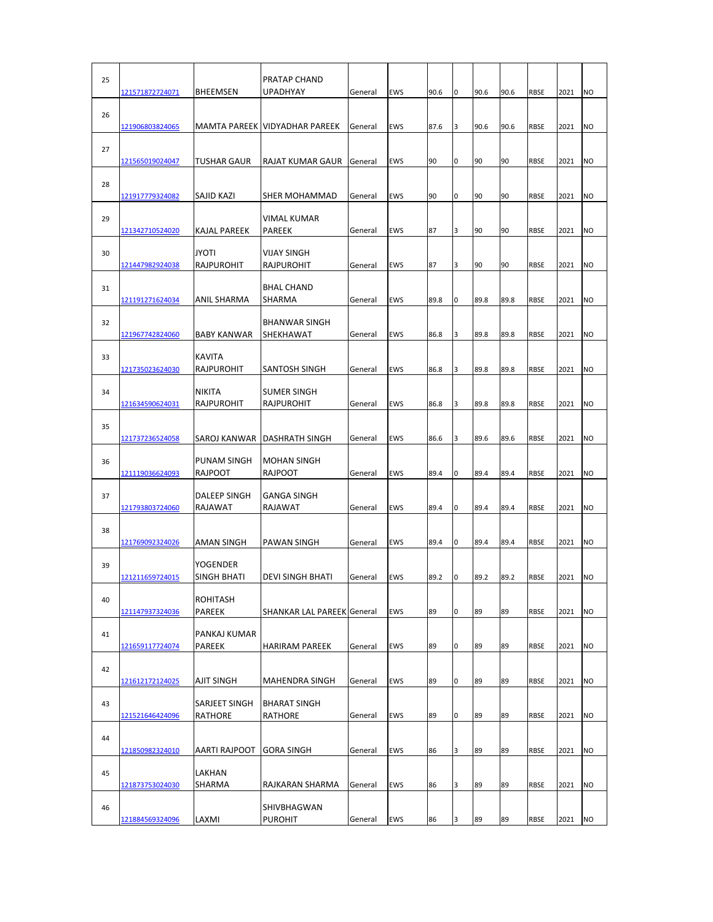| 25 | 121571872724071        | <b>BHEEMSEN</b>                    | PRATAP CHAND<br>UPADHYAY             | General | EWS        | 90.6 | 0 | 90.6 | 90.6 | <b>RBSE</b> | 2021 | N <sub>O</sub> |
|----|------------------------|------------------------------------|--------------------------------------|---------|------------|------|---|------|------|-------------|------|----------------|
| 26 | 121906803824065        |                                    | MAMTA PAREEK VIDYADHAR PAREEK        | General | EWS        | 87.6 | 3 | 90.6 | 90.6 | <b>RBSE</b> | 2021 | <b>NO</b>      |
| 27 |                        | TUSHAR GAUR                        | RAJAT KUMAR GAUR                     | General | EWS        | 90   | 0 | 90   | 90   | <b>RBSE</b> | 2021 | <b>NO</b>      |
| 28 | 121565019024047        |                                    |                                      |         |            |      |   |      |      |             |      |                |
|    | <u>121917779324082</u> | SAJID KAZI                         | SHER MOHAMMAD                        | General | EWS        | 90   | 0 | 90   | 90   | <b>RBSE</b> | 2021 | <b>NO</b>      |
| 29 | 121342710524020        | KAJAL PAREEK                       | VIMAL KUMAR<br>PAREEK                | General | EWS        | 87   | 3 | 90   | 90   | <b>RBSE</b> | 2021 | <b>NO</b>      |
| 30 | 121447982924038        | <b>JYOTI</b><br>RAJPUROHIT         | VIJAY SINGH<br>RAJPUROHIT            | General | EWS        | 87   | 3 | 90   | 90   | <b>RBSE</b> | 2021 | <b>NO</b>      |
| 31 | 121191271624034        | ANIL SHARMA                        | <b>BHAL CHAND</b><br>SHARMA          | General | EWS        | 89.8 | 0 | 89.8 | 89.8 | <b>RBSE</b> | 2021 | NO             |
| 32 | 121967742824060        | <b>BABY KANWAR</b>                 | <b>BHANWAR SINGH</b><br>SHEKHAWAT    | General | EWS        | 86.8 | 3 | 89.8 | 89.8 | <b>RBSE</b> | 2021 | N <sub>O</sub> |
| 33 |                        | <b>KAVITA</b>                      |                                      |         |            |      |   |      |      |             |      |                |
|    | 121735023624030        | RAJPUROHIT                         | SANTOSH SINGH                        | General | EWS        | 86.8 | 3 | 89.8 | 89.8 | <b>RBSE</b> | 2021 | <b>NO</b>      |
| 34 |                        | <b>NIKITA</b><br><b>RAJPUROHIT</b> | <b>SUMER SINGH</b><br>RAJPUROHIT     | General | <b>EWS</b> | 86.8 | 3 | 89.8 | 89.8 | <b>RBSE</b> | 2021 | <b>NO</b>      |
|    | <u>121634590624031</u> |                                    |                                      |         |            |      |   |      |      |             |      |                |
| 35 | 121737236524058        | SAROJ KANWAR                       | DASHRATH SINGH                       | General | EWS        | 86.6 | 3 | 89.6 | 89.6 | <b>RBSE</b> | 2021 | <b>NO</b>      |
| 36 | 121119036624093        | PUNAM SINGH<br><b>RAJPOOT</b>      | <b>MOHAN SINGH</b><br><b>RAJPOOT</b> | General | EWS        | 89.4 | 0 | 89.4 | 89.4 | <b>RBSE</b> | 2021 | <b>NO</b>      |
| 37 | 121793803724060        | <b>DALEEP SINGH</b><br>RAJAWAT     | <b>GANGA SINGH</b><br>RAJAWAT        | General | EWS        | 89.4 | 0 | 89.4 | 89.4 | <b>RBSE</b> | 2021 | N <sub>O</sub> |
| 38 |                        |                                    |                                      |         |            |      |   |      |      |             |      |                |
|    | 121769092324026        | <b>AMAN SINGH</b>                  | <b>PAWAN SINGH</b>                   | General | EWS        | 89.4 | 0 | 89.4 | 89.4 | <b>RBSE</b> | 2021 | <b>NO</b>      |
| 39 | 121211659724015        | YOGENDER<br>SINGH BHATI            | DEVI SINGH BHATI                     | General | EWS        | 89.2 | 0 | 89.2 | 89.2 | <b>RBSE</b> | 2021 | <b>NO</b>      |
| 40 |                        | <b>ROHITASH</b>                    |                                      |         |            |      |   |      |      |             |      |                |
|    | 121147937324036        | <b>PAREEK</b>                      | <b>SHANKAR LAL PAREEK General</b>    |         | EWS        | 89   | 0 | 89   | 89   | <b>RBSE</b> | 2021 | <b>NO</b>      |
| 41 |                        | PANKAJ KUMAR                       |                                      |         |            |      |   |      |      |             |      |                |
|    | 121659117724074        | PAREEK                             | HARIRAM PAREEK                       | General | EWS        | 89   | 0 | 89   | 89   | <b>RBSE</b> | 2021 | <b>NO</b>      |
| 42 | 121612172124025        | <b>AJIT SINGH</b>                  | MAHENDRA SINGH                       | General | EWS        | 89   | 0 | 89   | 89   | <b>RBSE</b> | 2021 | <b>NO</b>      |
| 43 | 121521646424096        | SARJEET SINGH<br>RATHORE           | <b>BHARAT SINGH</b><br>RATHORE       | General | EWS        | 89   | 0 | 89   | 89   | <b>RBSE</b> | 2021 | <b>NO</b>      |
|    |                        |                                    |                                      |         |            |      |   |      |      |             |      |                |
| 44 | 121850982324010        | AARTI RAJPOOT                      | <b>GORA SINGH</b>                    | General | EWS        | 86   | 3 | 89   | 89   | <b>RBSE</b> | 2021 | <b>NO</b>      |
| 45 |                        | LAKHAN                             |                                      |         |            |      |   |      |      |             |      |                |
|    | 121873753024030        | SHARMA                             | RAJKARAN SHARMA                      | General | EWS        | 86   | 3 | 89   | 89   | RBSE        | 2021 | <b>NO</b>      |
| 46 | 121884569324096        | LAXMI                              | SHIVBHAGWAN<br>PUROHIT               | General | EWS        | 86   | 3 | 89   | 89   | RBSE        | 2021 | <b>NO</b>      |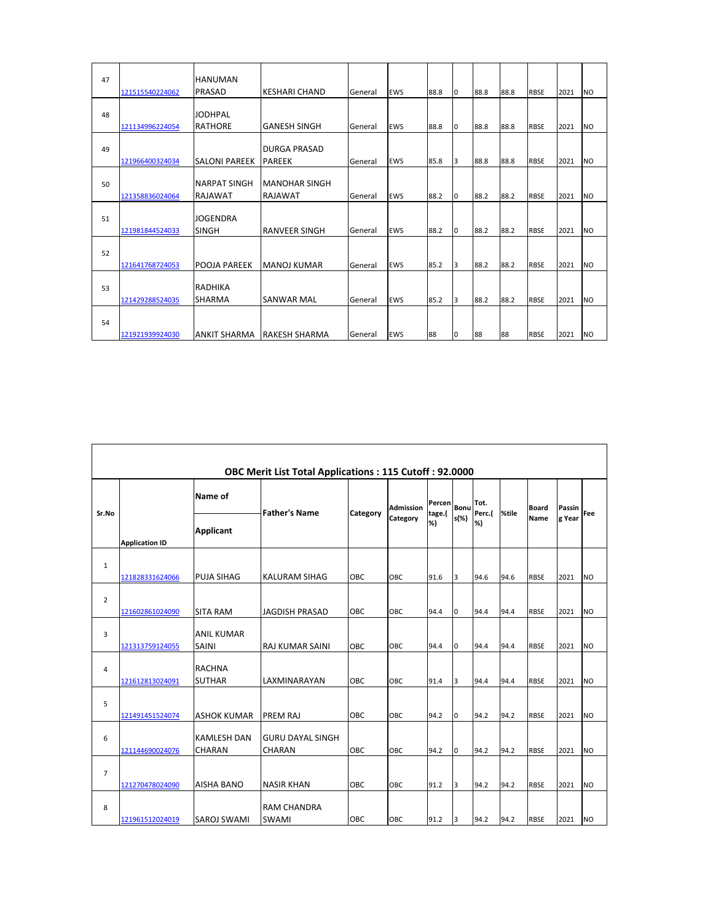| 47 | 121515540224062 | <b>HANUMAN</b><br>PRASAD              | <b>KESHARI CHAND</b>                   | General | <b>EWS</b> | 88.8 | l0       | 88.8 | 88.8 | <b>RBSE</b> | 2021 | <b>NO</b>      |
|----|-----------------|---------------------------------------|----------------------------------------|---------|------------|------|----------|------|------|-------------|------|----------------|
| 48 | 121134996224054 | JODHPAL<br><b>RATHORE</b>             | <b>GANESH SINGH</b>                    | General | <b>EWS</b> | 88.8 | l0       | 88.8 | 88.8 | <b>RBSE</b> | 2021 | <b>NO</b>      |
| 49 | 121966400324034 | <b>SALONI PAREEK</b>                  | <b>DURGA PRASAD</b><br><b>PAREEK</b>   | General | <b>EWS</b> | 85.8 | 3        | 88.8 | 88.8 | <b>RBSE</b> | 2021 | <b>NO</b>      |
| 50 | 121358836024064 | <b>NARPAT SINGH</b><br><b>RAJAWAT</b> | <b>MANOHAR SINGH</b><br><b>RAJAWAT</b> | General | <b>EWS</b> | 88.2 | l0       | 88.2 | 88.2 | <b>RBSE</b> | 2021 | <b>NO</b>      |
| 51 | 121981844524033 | <b>JOGENDRA</b><br>SINGH              | <b>RANVEER SINGH</b>                   | General | <b>EWS</b> | 88.2 | l0       | 88.2 | 88.2 | <b>RBSE</b> | 2021 | N <sub>O</sub> |
| 52 | 121641768724053 | POOJA PAREEK                          | MANOJ KUMAR                            | General | <b>EWS</b> | 85.2 | 3        | 88.2 | 88.2 | <b>RBSE</b> | 2021 | N <sub>O</sub> |
| 53 | 121429288524035 | <b>RADHIKA</b><br><b>SHARMA</b>       | SANWAR MAL                             | General | <b>EWS</b> | 85.2 | 3        | 88.2 | 88.2 | <b>RBSE</b> | 2021 | N <sub>O</sub> |
| 54 | 121921939924030 | ANKIT SHARMA                          | <b>IRAKESH SHARMA</b>                  | General | <b>EWS</b> | 88   | $\Omega$ | 88   | 88   | <b>RBSE</b> | 2021 | <b>NO</b>      |

|                | <b>OBC Merit List Total Applications: 115 Cutoff: 92.0000</b> |                                     |                                          |          |                  |                  |      |                |       |              |        |                |  |  |  |
|----------------|---------------------------------------------------------------|-------------------------------------|------------------------------------------|----------|------------------|------------------|------|----------------|-------|--------------|--------|----------------|--|--|--|
| Sr.No          |                                                               | Name of                             | <b>Father's Name</b>                     |          | <b>Admission</b> | Percen<br>tage.( | Bonu | Tot.<br>Perc.( | %tile | <b>Board</b> | Passin | Fee            |  |  |  |
|                | <b>Application ID</b>                                         | Applicant                           |                                          | Category | Category         | %)               | s(%) | %)             |       | Name         | g Year |                |  |  |  |
| $\mathbf{1}$   | 121828331624066                                               | <b>PUJA SIHAG</b>                   | <b>KALURAM SIHAG</b>                     | OBC      | OBC              | 91.6             | 3    | 94.6           | 94.6  | <b>RBSE</b>  | 2021   | <b>NO</b>      |  |  |  |
| $\overline{2}$ | 121602861024090                                               | <b>SITA RAM</b>                     | <b>JAGDISH PRASAD</b>                    | OBC.     | OBC              | 94.4             | lo.  | 94.4           | 94.4  | <b>RBSE</b>  | 2021   | <b>NO</b>      |  |  |  |
| 3              | 121313759124055                                               | <b>ANIL KUMAR</b><br><b>SAINI</b>   | <b>RAJ KUMAR SAINI</b>                   | OBC      | OBC              | 94.4             | lo.  | 94.4           | 94.4  | <b>RBSE</b>  | 2021   | <b>NO</b>      |  |  |  |
| 4              | 121612813024091                                               | <b>RACHNA</b><br><b>SUTHAR</b>      | LAXMINARAYAN                             | OBC      | OBC              | 91.4             | 3    | 94.4           | 94.4  | <b>RBSE</b>  | 2021   | <b>NO</b>      |  |  |  |
| 5              | 121491451524074                                               | <b>ASHOK KUMAR</b>                  | PREM RAJ                                 | OBC      | OBC              | 94.2             | l0   | 94.2           | 94.2  | <b>RBSE</b>  | 2021   | N <sub>O</sub> |  |  |  |
| 6              | 121144690024076                                               | <b>KAMLESH DAN</b><br><b>CHARAN</b> | <b>GURU DAYAL SINGH</b><br><b>CHARAN</b> | OBC      | OBC              | 94.2             | lo   | 94.2           | 94.2  | <b>RBSE</b>  | 2021   | <b>NO</b>      |  |  |  |
| $\overline{7}$ | 121270478024090                                               | <b>AISHA BANO</b>                   | <b>NASIR KHAN</b>                        | OBC      | OBC              | 91.2             | 3    | 94.2           | 94.2  | <b>RBSE</b>  | 2021   | <b>NO</b>      |  |  |  |
| 8              | 121961512024019                                               | <b>SAROJ SWAMI</b>                  | <b>RAM CHANDRA</b><br><b>SWAMI</b>       | OBC      | OBC              | 91.2             | Iз   | 94.2           | 94.2  | <b>RBSE</b>  | 2021   | <b>NO</b>      |  |  |  |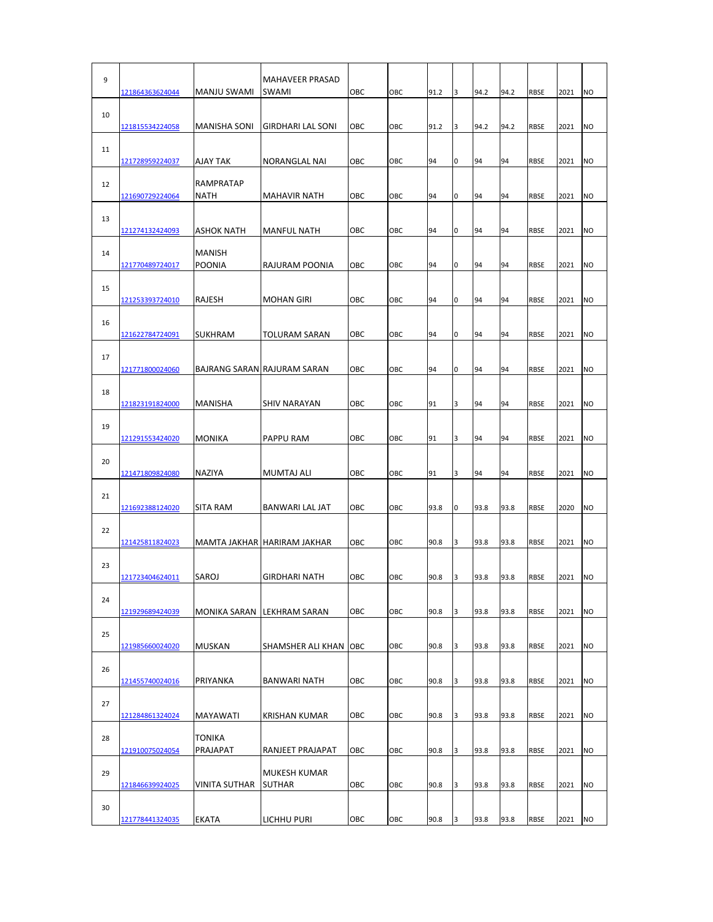| 9  | 121864363624044        | <b>MANJU SWAMI</b>             | MAHAVEER PRASAD<br>SWAMI      | OBC | OBC | 91.2 | 3 | 94.2 | 94.2 | <b>RBSE</b> | 2021 | <b>NO</b>      |
|----|------------------------|--------------------------------|-------------------------------|-----|-----|------|---|------|------|-------------|------|----------------|
| 10 | 121815534224058        | <b>MANISHA SONI</b>            | <b>GIRDHARI LAL SONI</b>      | OBC | OBC | 91.2 | 3 | 94.2 | 94.2 | <b>RBSE</b> | 2021 | N <sub>O</sub> |
| 11 | 121728959224037        | AJAY TAK                       | NORANGLAL NAI                 | OBC | OBC | 94   | 0 | 94   | 94   | <b>RBSE</b> | 2021 | <b>NO</b>      |
| 12 | 121690729224064        | RAMPRATAP<br><b>NATH</b>       | <b>MAHAVIR NATH</b>           | OBC | OBC | 94   | 0 | 94   | 94   | <b>RBSE</b> | 2021 | <b>NO</b>      |
| 13 | 121274132424093        | ASHOK NATH                     | <b>MANFUL NATH</b>            | OBC | OBC | 94   | 0 | 94   | 94   | <b>RBSE</b> | 2021 | <b>NO</b>      |
| 14 | 121770489724017        | <b>MANISH</b><br><b>POONIA</b> | RAJURAM POONIA                | OBC | OBC | 94   | 0 | 94   | 94   | <b>RBSE</b> | 2021 | <b>NO</b>      |
| 15 | 121253393724010        | RAJESH                         | <b>MOHAN GIRI</b>             | OBC | OBC | 94   | 0 | 94   | 94   | <b>RBSE</b> | 2021 | <b>NO</b>      |
| 16 |                        |                                |                               |     |     |      |   |      | 94   |             |      |                |
| 17 | 121622784724091        | <b>SUKHRAM</b>                 | TOLURAM SARAN                 | OBC | OBC | 94   | 0 | 94   |      | <b>RBSE</b> | 2021 | <b>NO</b>      |
| 18 | 121771800024060        |                                | BAJRANG SARAN RAJURAM SARAN   | OBC | OBC | 94   | 0 | 94   | 94   | <b>RBSE</b> | 2021 | <b>NO</b>      |
| 19 | 121823191824000        | MANISHA                        | <b>SHIV NARAYAN</b>           | OBC | OBC | 91   | 3 | 94   | 94   | <b>RBSE</b> | 2021 | <b>NO</b>      |
| 20 | <u>121291553424020</u> | <b>MONIKA</b>                  | PAPPU RAM                     | OBC | OBC | 91   | 3 | 94   | 94   | <b>RBSE</b> | 2021 | <b>NO</b>      |
|    | 121471809824080        | NAZIYA                         | <b>MUMTAJ ALI</b>             | OBC | OBC | 91   | 3 | 94   | 94   | <b>RBSE</b> | 2021 | <b>NO</b>      |
| 21 | 121692388124020        | <b>SITA RAM</b>                | BANWARI LAL JAT               | OBC | OBC | 93.8 | 0 | 93.8 | 93.8 | <b>RBSE</b> | 2020 | <b>NO</b>      |
| 22 | 121425811824023        |                                | MAMTA JAKHAR HARIRAM JAKHAR   | OBC | OBC | 90.8 | 3 | 93.8 | 93.8 | <b>RBSE</b> | 2021 | <b>NO</b>      |
| 23 | 121723404624011        | <b>SAROJ</b>                   | GIRDHARI NATH                 | OBC | OBC | 90.8 | 3 | 93.8 | 93.8 | <b>RBSE</b> | 2021 | <b>NO</b>      |
| 24 | 121929689424039        |                                | MONIKA SARAN LEKHRAM SARAN    | OBC | OBC | 90.8 | 3 | 93.8 | 93.8 | <b>RBSE</b> | 2021 | <b>NO</b>      |
| 25 | 121985660024020        | <b>MUSKAN</b>                  | SHAMSHER ALI KHAN             | OBC | OBC | 90.8 | 3 | 93.8 | 93.8 | <b>RBSE</b> | 2021 | <b>NO</b>      |
| 26 |                        |                                |                               |     |     |      |   |      |      |             |      |                |
| 27 | 121455740024016        | PRIYANKA                       | BANWARI NATH                  | OBC | OBC | 90.8 | 3 | 93.8 | 93.8 | <b>RBSE</b> | 2021 | <b>NO</b>      |
|    | 121284861324024        | <b>MAYAWATI</b>                | KRISHAN KUMAR                 | OBC | OBC | 90.8 | 3 | 93.8 | 93.8 | <b>RBSE</b> | 2021 | <b>NO</b>      |
| 28 | 121910075024054        | <b>TONIKA</b><br>PRAJAPAT      | RANJEET PRAJAPAT              | ОВС | OBC | 90.8 | 3 | 93.8 | 93.8 | <b>RBSE</b> | 2021 | <b>NO</b>      |
| 29 | 121846639924025        | <b>VINITA SUTHAR</b>           | MUKESH KUMAR<br><b>SUTHAR</b> | OBC | OBC | 90.8 | 3 | 93.8 | 93.8 | <b>RBSE</b> | 2021 | <b>NO</b>      |
| 30 |                        |                                |                               |     |     |      |   |      |      |             |      |                |
|    | 121778441324035        | EKATA                          | LICHHU PURI                   | ОВС | OBC | 90.8 | 3 | 93.8 | 93.8 | <b>RBSE</b> | 2021 | <b>NO</b>      |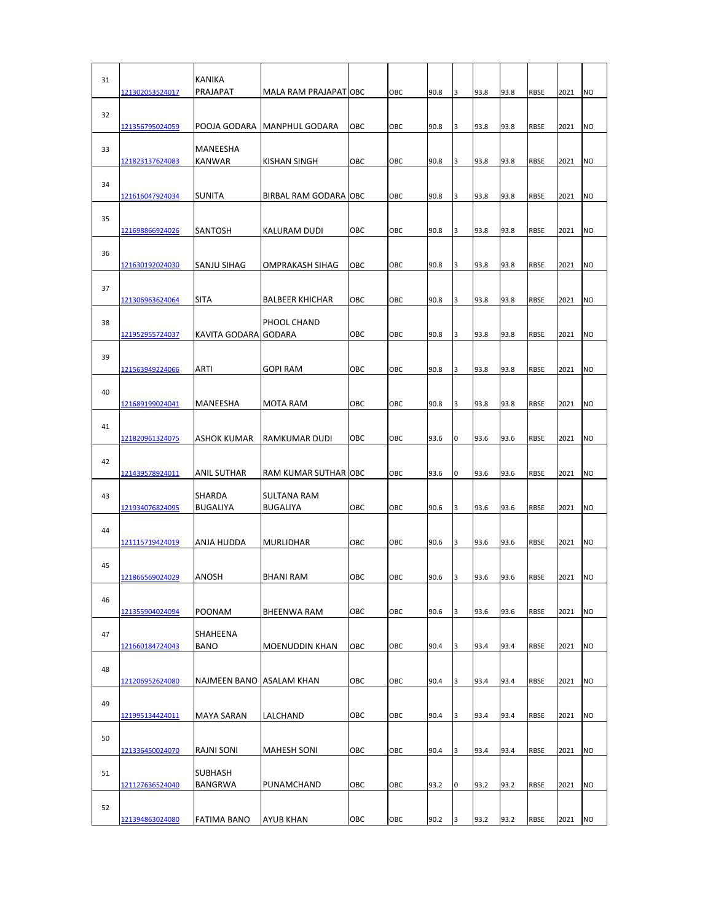| 31 | 121302053524017        | <b>KANIKA</b><br>PRAJAPAT | MALA RAM PRAJAPATOBC                  |     | OBC | 90.8 | 3 | 93.8 | 93.8 | RBSE        | 2021 | <b>NO</b>      |
|----|------------------------|---------------------------|---------------------------------------|-----|-----|------|---|------|------|-------------|------|----------------|
| 32 | 121356795024059        | POOJA GODARA              | <b>MANPHUL GODARA</b>                 | OBC | OBC | 90.8 | 3 | 93.8 | 93.8 | <b>RBSE</b> | 2021 | <b>NO</b>      |
| 33 | 121823137624083        | MANEESHA<br>KANWAR        | KISHAN SINGH                          | OBC | OBC | 90.8 | 3 | 93.8 | 93.8 | <b>RBSE</b> | 2021 | <b>NO</b>      |
| 34 | 121616047924034        | <b>SUNITA</b>             | BIRBAL RAM GODARA OBC                 |     | OBC | 90.8 | 3 | 93.8 | 93.8 | <b>RBSE</b> | 2021 | N <sub>O</sub> |
| 35 | 121698866924026        | SANTOSH                   | KALURAM DUDI                          | OBC | OBC | 90.8 | 3 | 93.8 | 93.8 | <b>RBSE</b> | 2021 | <b>NO</b>      |
| 36 | 121630192024030        | SANJU SIHAG               | OMPRAKASH SIHAG                       | OBC | OBC | 90.8 | 3 | 93.8 | 93.8 | <b>RBSE</b> | 2021 | <b>NO</b>      |
| 37 |                        |                           |                                       |     |     |      |   |      |      |             |      |                |
| 38 | <u>121306963624064</u> | <b>SITA</b>               | <b>BALBEER KHICHAR</b><br>PHOOL CHAND | OBC | OBC | 90.8 | 3 | 93.8 | 93.8 | <b>RBSE</b> | 2021 | <b>NO</b>      |
| 39 | 121952955724037        | KAVITA GODARA GODARA      |                                       | OBC | OBC | 90.8 | 3 | 93.8 | 93.8 | <b>RBSE</b> | 2021 | <b>NO</b>      |
| 40 | 121563949224066        | <b>ARTI</b>               | GOPI RAM                              | OBC | OBC | 90.8 | 3 | 93.8 | 93.8 | <b>RBSE</b> | 2021 | <b>NO</b>      |
| 41 | <u>121689199024041</u> | MANEESHA                  | MOTA RAM                              | OBC | OBC | 90.8 | 3 | 93.8 | 93.8 | <b>RBSE</b> | 2021 | <b>NO</b>      |
| 42 | 121820961324075        | ASHOK KUMAR               | RAMKUMAR DUDI                         | OBC | OBC | 93.6 | 0 | 93.6 | 93.6 | <b>RBSE</b> | 2021 | NO             |
|    | 121439578924011        | ANIL SUTHAR               | RAM KUMAR SUTHAR OBC                  |     | OBC | 93.6 | 0 | 93.6 | 93.6 | <b>RBSE</b> | 2021 | <b>NO</b>      |
| 43 | <u>121934076824095</u> | SHARDA<br>BUGALIYA        | <b>SULTANA RAM</b><br><b>BUGALIYA</b> | OBC | OBC | 90.6 | 3 | 93.6 | 93.6 | <b>RBSE</b> | 2021 | <b>NO</b>      |
| 44 | 121115719424019        | ANJA HUDDA                | <b>MURLIDHAR</b>                      | OBC | OBC | 90.6 | 3 | 93.6 | 93.6 | <b>RBSE</b> | 2021 | <b>NO</b>      |
| 45 | 121866569024029        | <b>ANOSH</b>              | BHANI RAM                             | OBC | OBC | 90.6 | 3 | 93.6 | 93.6 | <b>RBSE</b> | 2021 | <b>NO</b>      |
| 46 | 121355904024094        | POONAM                    | BHEENWA RAM                           | OBC | OBC | 90.6 | 3 | 93.6 | 93.6 | <b>RBSE</b> | 2021 | <b>NO</b>      |
| 47 | 121660184724043        | SHAHEENA<br><b>BANO</b>   | MOENUDDIN KHAN                        | OBC | OBC | 90.4 | 3 | 93.4 | 93.4 | <b>RBSE</b> | 2021 | <b>NO</b>      |
| 48 | 121206952624080        | NAJMEEN BANO ASALAM KHAN  |                                       | OBC | OBC | 90.4 | 3 | 93.4 | 93.4 | <b>RBSE</b> | 2021 | <b>NO</b>      |
| 49 | 121995134424011        | <b>MAYA SARAN</b>         | LALCHAND                              | OBC | OBC | 90.4 | 3 | 93.4 | 93.4 | <b>RBSE</b> | 2021 | <b>NO</b>      |
| 50 |                        |                           |                                       |     |     |      |   |      |      |             |      |                |
| 51 | 121336450024070        | RAJNI SONI<br>SUBHASH     | MAHESH SONI                           | OBC | OBC | 90.4 | 3 | 93.4 | 93.4 | <b>RBSE</b> | 2021 | <b>NO</b>      |
| 52 | 121127636524040        | BANGRWA                   | PUNAMCHAND                            | OBC | OBC | 93.2 | 0 | 93.2 | 93.2 | <b>RBSE</b> | 2021 | <b>NO</b>      |
|    | 121394863024080        | FATIMA BANO               | AYUB KHAN                             | ОВС | OBC | 90.2 | 3 | 93.2 | 93.2 | RBSE        | 2021 | <b>NO</b>      |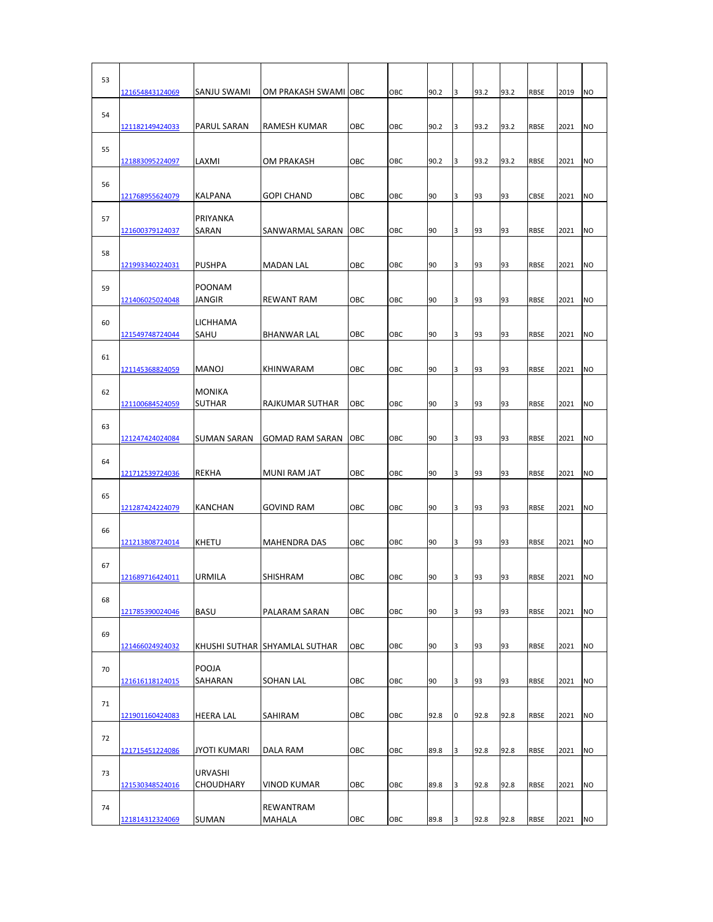| 53 | 121654843124069 | SANJU SWAMI                        | OM PRAKASH SWAMI OBC          |     | OBC | 90.2 | 3 | 93.2 | 93.2 | <b>RBSE</b> | 2019 | <b>NO</b>      |
|----|-----------------|------------------------------------|-------------------------------|-----|-----|------|---|------|------|-------------|------|----------------|
| 54 | 121182149424033 | <b>PARUL SARAN</b>                 | RAMESH KUMAR                  | OBC | OBC | 90.2 | 3 | 93.2 | 93.2 | <b>RBSE</b> | 2021 | <b>NO</b>      |
| 55 | 121883095224097 | LAXMI                              | OM PRAKASH                    | OBC | OBC | 90.2 | 3 | 93.2 | 93.2 | <b>RBSE</b> | 2021 | <b>NO</b>      |
| 56 | 121768955624079 | <b>KALPANA</b>                     | <b>GOPI CHAND</b>             | OBC | OBC | 90   | 3 | 93   | 93   | CBSE        | 2021 | <b>NO</b>      |
| 57 |                 | PRIYANKA                           |                               |     |     |      |   |      |      |             |      |                |
| 58 | 121600379124037 | SARAN                              | SANWARMAL SARAN               | OBC | OBC | 90   | 3 | 93   | 93   | <b>RBSE</b> | 2021 | NO             |
| 59 | 121993340224031 | <b>PUSHPA</b><br><b>POONAM</b>     | <b>MADAN LAL</b>              | OBC | OBC | 90   | 3 | 93   | 93   | <b>RBSE</b> | 2021 | NO             |
| 60 | 121406025024048 | JANGIR<br>LICHHAMA                 | <b>REWANT RAM</b>             | OBC | OBC | 90   | 3 | 93   | 93   | <b>RBSE</b> | 2021 | <b>NO</b>      |
| 61 | 121549748724044 | SAHU                               | <b>BHANWAR LAL</b>            | OBC | OBC | 90   | 3 | 93   | 93   | <b>RBSE</b> | 2021 | <b>NO</b>      |
|    | 121145368824059 | <b>MANOJ</b>                       | KHINWARAM                     | OBC | OBC | 90   | 3 | 93   | 93   | <b>RBSE</b> | 2021 | <b>NO</b>      |
| 62 | 121100684524059 | <b>MONIKA</b><br><b>SUTHAR</b>     | RAJKUMAR SUTHAR               | OBC | OBC | 90   | 3 | 93   | 93   | <b>RBSE</b> | 2021 | <b>NO</b>      |
| 63 | 121247424024084 | <b>SUMAN SARAN</b>                 | <b>GOMAD RAM SARAN</b>        | OBC | OBC | 90   | 3 | 93   | 93   | <b>RBSE</b> | 2021 | <b>NO</b>      |
| 64 | 121712539724036 | <b>REKHA</b>                       | MUNI RAM JAT                  | OBC | OBC | 90   | 3 | 93   | 93   | <b>RBSE</b> | 2021 | <b>NO</b>      |
| 65 |                 | <b>KANCHAN</b>                     |                               | OBC | OBC | 90   | 3 | 93   | 93   | <b>RBSE</b> |      | <b>NO</b>      |
| 66 | 121287424224079 |                                    | <b>GOVIND RAM</b>             |     |     |      |   |      |      |             | 2021 |                |
|    | 121213808724014 | <b>KHETU</b>                       | <b>MAHENDRA DAS</b>           | OBC | OBC | 90   | 3 | 93   | 93   | <b>RBSE</b> | 2021 | <b>NO</b>      |
| 67 | 121689716424011 | URMILA                             | SHISHRAM                      | OBC | OBC | 90   | 3 | 93   | 93   | <b>RBSE</b> | 2021 | <b>NO</b>      |
| 68 | 121785390024046 | <b>BASU</b>                        | PALARAM SARAN                 | OBC | OBC | 90   | 3 | 93   | 93   | <b>RBSE</b> | 2021 | <b>NO</b>      |
| 69 | 121466024924032 |                                    | KHUSHI SUTHAR SHYAMLAL SUTHAR | OBC | OBC | 90   | 3 | 93   | 93   | <b>RBSE</b> | 2021 | <b>NO</b>      |
| 70 |                 | POOJA                              |                               |     |     |      |   |      |      |             |      |                |
| 71 | 121616118124015 | SAHARAN                            | SOHAN LAL                     | OBC | OBC | 90   | 3 | 93   | 93   | <b>RBSE</b> | 2021 | <b>NO</b>      |
|    | 121901160424083 | <b>HEERA LAL</b>                   | SAHIRAM                       | OBC | OBC | 92.8 | 0 | 92.8 | 92.8 | <b>RBSE</b> | 2021 | N <sub>O</sub> |
| 72 | 121715451224086 | <b>JYOTI KUMARI</b>                | DALA RAM                      | OBC | OBC | 89.8 | 3 | 92.8 | 92.8 | <b>RBSE</b> | 2021 | <b>NO</b>      |
| 73 | 121530348524016 | <b>URVASHI</b><br><b>CHOUDHARY</b> | VINOD KUMAR                   | ОВС | OBC | 89.8 | 3 | 92.8 | 92.8 | <b>RBSE</b> | 2021 | <b>NO</b>      |
| 74 |                 |                                    | REWANTRAM                     |     |     |      |   |      |      |             |      |                |
|    | 121814312324069 | <b>SUMAN</b>                       | MAHALA                        | ОВС | OBC | 89.8 | 3 | 92.8 | 92.8 | <b>RBSE</b> | 2021 | <b>NO</b>      |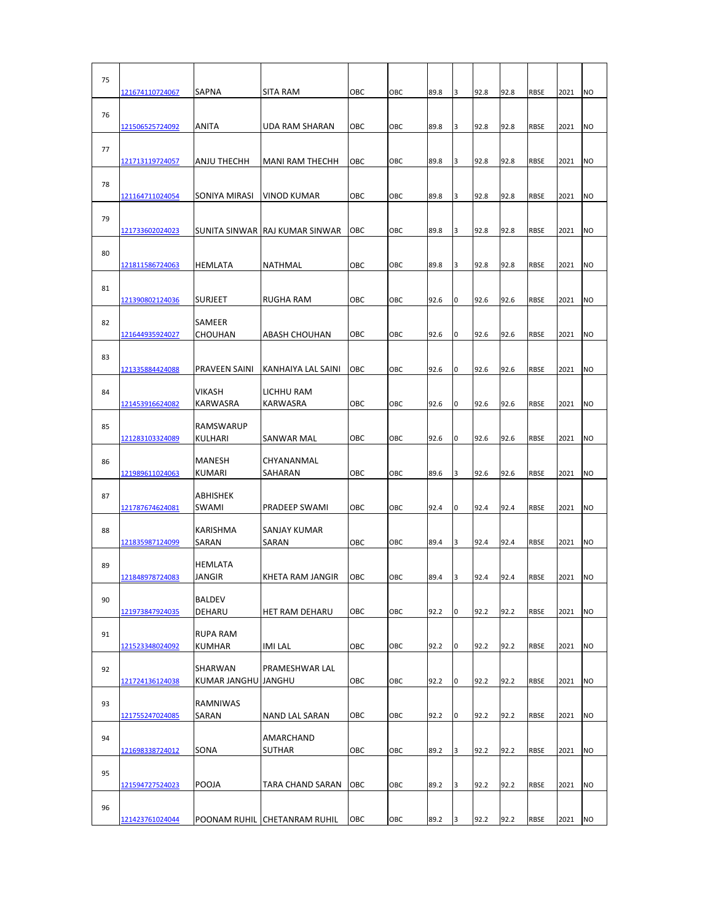| 75 | 121674110724067        | <b>SAPNA</b>                    | SITA RAM                        | OBC | OBC | 89.8 | 3 | 92.8 | 92.8 | <b>RBSE</b> | 2021 | <b>NO</b> |
|----|------------------------|---------------------------------|---------------------------------|-----|-----|------|---|------|------|-------------|------|-----------|
| 76 | <u>121506525724092</u> | <b>ANITA</b>                    | UDA RAM SHARAN                  | OBC | OBC | 89.8 | 3 | 92.8 | 92.8 | <b>RBSE</b> | 2021 | <b>NO</b> |
| 77 | <u>121713119724057</u> | ANJU THECHH                     | <b>MANI RAM THECHH</b>          | OBC | OBC | 89.8 | 3 | 92.8 | 92.8 | <b>RBSE</b> | 2021 | <b>NO</b> |
| 78 | 121164711024054        | SONIYA MIRASI                   | VINOD KUMAR                     | OBC | OBC | 89.8 | 3 | 92.8 | 92.8 | <b>RBSE</b> | 2021 | <b>NO</b> |
| 79 |                        |                                 |                                 |     |     |      |   |      |      |             |      |           |
| 80 | <u>121733602024023</u> |                                 | SUNITA SINWAR JRAJ KUMAR SINWAR | OBC | OBC | 89.8 | 3 | 92.8 | 92.8 | <b>RBSE</b> | 2021 | NO        |
| 81 | 121811586724063        | HEMLATA                         | <b>NATHMAL</b>                  | OBC | OBC | 89.8 | 3 | 92.8 | 92.8 | <b>RBSE</b> | 2021 | <b>NO</b> |
| 82 | 121390802124036        | <b>SURJEET</b><br>SAMEER        | RUGHA RAM                       | OBC | OBC | 92.6 | 0 | 92.6 | 92.6 | <b>RBSE</b> | 2021 | <b>NO</b> |
|    | <u>121644935924027</u> | CHOUHAN                         | <b>ABASH CHOUHAN</b>            | OBC | OBC | 92.6 | 0 | 92.6 | 92.6 | <b>RBSE</b> | 2021 | <b>NO</b> |
| 83 | 121335884424088        | PRAVEEN SAINI                   | KANHAIYA LAL SAINI              | OBC | OBC | 92.6 | 0 | 92.6 | 92.6 | <b>RBSE</b> | 2021 | <b>NO</b> |
| 84 | 121453916624082        | VIKASH<br>KARWASRA              | LICHHU RAM<br>KARWASRA          | OBC | OBC | 92.6 | 0 | 92.6 | 92.6 | <b>RBSE</b> | 2021 | <b>NO</b> |
| 85 |                        | <b>RAMSWARUP</b>                |                                 |     |     |      |   |      |      |             |      |           |
| 86 | 121283103324089        | KULHARI<br>MANESH               | SANWAR MAL<br>CHYANANMAL        | OBC | OBC | 92.6 | 0 | 92.6 | 92.6 | <b>RBSE</b> | 2021 | <b>NO</b> |
|    | 121989611024063        | <b>KUMARI</b>                   | SAHARAN                         | OBC | OBC | 89.6 | 3 | 92.6 | 92.6 | <b>RBSE</b> | 2021 | <b>NO</b> |
| 87 | 121787674624081        | ABHISHEK<br><b>SWAMI</b>        | <b>PRADEEP SWAMI</b>            | OBC | OBC | 92.4 | 0 | 92.4 | 92.4 | <b>RBSE</b> | 2021 | <b>NO</b> |
| 88 | 121835987124099        | KARISHMA<br>SARAN               | SANJAY KUMAR<br>SARAN           | OBC | OBC | 89.4 | 3 | 92.4 | 92.4 | <b>RBSE</b> | 2021 | <b>NO</b> |
| 89 | 121848978724083        | <b>HEMLATA</b><br><b>JANGIR</b> | KHETA RAM JANGIR                | OBC | OBC | 89.4 | 3 | 92.4 | 92.4 | <b>RBSE</b> | 2021 | <b>NO</b> |
| 90 | 121973847924035        | BALDEV<br>DEHARU                | HET RAM DEHARU                  | OBC | OBC | 92.2 | 0 | 92.2 | 92.2 | <b>RBSE</b> | 2021 | <b>NO</b> |
| 91 |                        | RUPA RAM                        | IMI LAL                         | OBC |     | 92.2 | 0 | 92.2 | 92.2 | <b>RBSE</b> | 2021 | <b>NO</b> |
| 92 | 121523348024092        | KUMHAR<br>SHARWAN               | PRAMESHWAR LAL                  |     | OBC |      |   |      |      |             |      |           |
| 93 | 121724136124038        | KUMAR JANGHU JANGHU<br>RAMNIWAS |                                 | OBC | OBC | 92.2 | 0 | 92.2 | 92.2 | <b>RBSE</b> | 2021 | <b>NO</b> |
|    | 121755247024085        | SARAN                           | NAND LAL SARAN                  | OBC | OBC | 92.2 | 0 | 92.2 | 92.2 | RBSE        | 2021 | <b>NO</b> |
| 94 | 121698338724012        | SONA                            | AMARCHAND<br>SUTHAR             | ОВС | OBC | 89.2 | 3 | 92.2 | 92.2 | RBSE        | 2021 | <b>NO</b> |
| 95 |                        |                                 |                                 | OBC | OBC | 89.2 | 3 | 92.2 | 92.2 | RBSE        | 2021 | <b>NO</b> |
|    | 121594727524023        | POOJA                           | TARA CHAND SARAN                |     |     |      |   |      |      |             |      |           |
| 96 | 121423761024044        |                                 | POONAM RUHIL CHETANRAM RUHIL    | ОВС | OBC | 89.2 | 3 | 92.2 | 92.2 | RBSE        | 2021 | <b>NO</b> |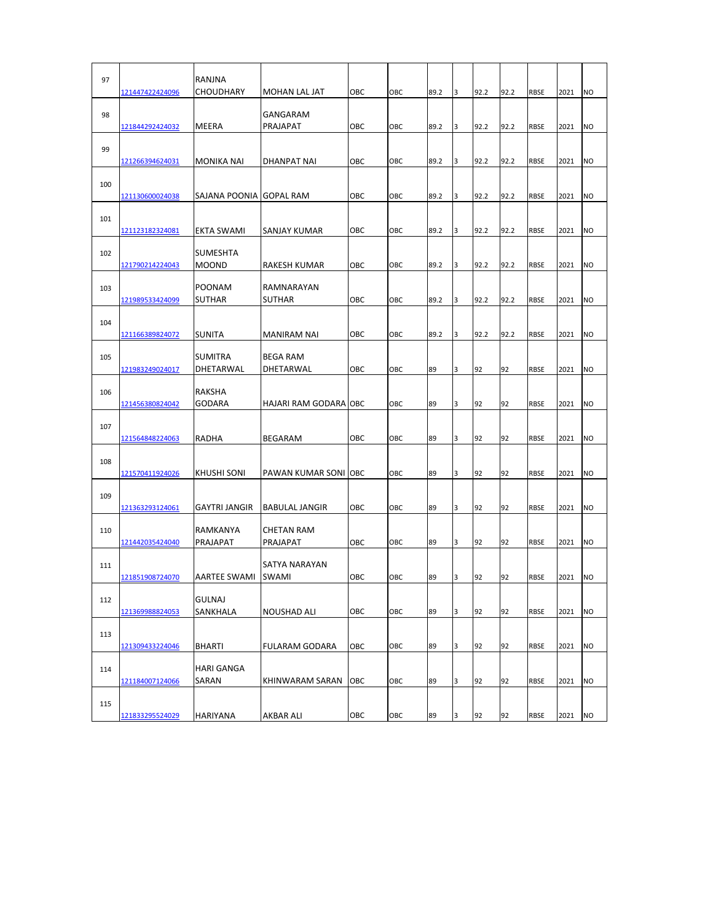| 97  | 121447422424096 | RANJNA<br><b>CHOUDHARY</b> | MOHAN LAL JAT         | OBC | OBC | 89.2 | 3 | 92.2 | 92.2 | <b>RBSE</b> | 2021 | N <sub>O</sub> |
|-----|-----------------|----------------------------|-----------------------|-----|-----|------|---|------|------|-------------|------|----------------|
| 98  |                 |                            | GANGARAM              |     |     |      |   |      |      |             |      |                |
|     | 121844292424032 | MEERA                      | PRAJAPAT              | OBC | OBC | 89.2 | 3 | 92.2 | 92.2 | <b>RBSE</b> | 2021 | <b>NO</b>      |
| 99  |                 |                            |                       |     |     |      |   |      |      |             |      |                |
|     | 121266394624031 | <b>MONIKA NAI</b>          | DHANPAT NAI           | OBC | OBC | 89.2 | 3 | 92.2 | 92.2 | RBSE        | 2021 | N <sub>O</sub> |
| 100 | 121130600024038 | SAJANA POONIA              | <b>GOPAL RAM</b>      | OBC | OBC | 89.2 | 3 | 92.2 | 92.2 | <b>RBSE</b> | 2021 | <b>NO</b>      |
|     |                 |                            |                       |     |     |      |   |      |      |             |      |                |
| 101 | 121123182324081 | EKTA SWAMI                 | SANJAY KUMAR          | OBC | OBC | 89.2 | 3 | 92.2 | 92.2 | <b>RBSE</b> | 2021 | <b>NO</b>      |
|     |                 |                            |                       |     |     |      |   |      |      |             |      |                |
| 102 |                 | <b>SUMESHTA</b>            |                       |     |     |      |   |      |      |             |      |                |
|     | 121790214224043 | <b>MOOND</b>               | RAKESH KUMAR          | OBC | OBC | 89.2 | 3 | 92.2 | 92.2 | <b>RBSE</b> | 2021 | N <sub>O</sub> |
| 103 |                 | <b>POONAM</b>              | RAMNARAYAN            |     |     |      |   |      |      |             |      |                |
|     | 121989533424099 | <b>SUTHAR</b>              | <b>SUTHAR</b>         | OBC | OBC | 89.2 | 3 | 92.2 | 92.2 | <b>RBSE</b> | 2021 | <b>NO</b>      |
|     |                 |                            |                       |     |     |      |   |      |      |             |      |                |
| 104 | 121166389824072 | SUNITA                     | MANIRAM NAI           | OBC | OBC | 89.2 | 3 | 92.2 | 92.2 | <b>RBSE</b> | 2021 | <b>NO</b>      |
|     |                 |                            |                       |     |     |      |   |      |      |             |      |                |
| 105 |                 | <b>SUMITRA</b>             | <b>BEGA RAM</b>       |     |     |      |   |      |      |             |      |                |
|     | 121983249024017 | DHETARWAL                  | DHETARWAL             | OBC | OBC | 89   | 3 | 92   | 92   | <b>RBSE</b> | 2021 | <b>NO</b>      |
| 106 |                 | <b>RAKSHA</b>              |                       |     |     |      |   |      |      |             |      |                |
|     | 121456380824042 | GODARA                     | HAJARI RAM GODARA OBC |     | OBC | 89   | 3 | 92   | 92   | <b>RBSE</b> | 2021 | <b>NO</b>      |
|     |                 |                            |                       |     |     |      |   |      |      |             |      |                |
| 107 | 121564848224063 | RADHA                      | BEGARAM               | OBC | OBC | 89   | 3 | 92   | 92   | <b>RBSE</b> | 2021 | <b>NO</b>      |
|     |                 |                            |                       |     |     |      |   |      |      |             |      |                |
| 108 |                 |                            |                       |     |     |      |   |      |      |             |      |                |
|     | 121570411924026 | KHUSHI SONI                | PAWAN KUMAR SONI OBC  |     | OBC | 89   | 3 | 92   | 92   | <b>RBSE</b> | 2021 | <b>NO</b>      |
| 109 |                 |                            |                       |     |     |      |   |      |      |             |      |                |
|     | 121363293124061 | GAYTRI JANGIR              | <b>BABULAL JANGIR</b> | OBC | OBC | 89   | 3 | 92   | 92   | <b>RBSE</b> | 2021 | <b>NO</b>      |
|     |                 |                            | <b>CHETAN RAM</b>     |     |     |      |   |      |      |             |      |                |
| 110 | 121442035424040 | RAMKANYA<br>PRAJAPAT       | PRAJAPAT              | OBC | OBC | 89   | 3 | 92   | 92   | <b>RBSE</b> | 2021 | <b>NO</b>      |
|     |                 |                            |                       |     |     |      |   |      |      |             |      |                |
| 111 |                 |                            | SATYA NARAYAN         |     |     |      |   |      |      |             |      |                |
|     | 121851908724070 | AARTEE SWAMI               | <b>SWAMI</b>          | OBC | OBC | 89   | 3 | 92   | 92   | <b>RBSE</b> | 2021 | <b>NO</b>      |
| 112 |                 | <b>GULNAJ</b>              |                       |     |     |      |   |      |      |             |      |                |
|     | 121369988824053 | SANKHALA                   | NOUSHAD ALI           | OBC | OBC | 89   | 3 | 92   | 92   | <b>RBSE</b> | 2021 | <b>NO</b>      |
|     |                 |                            |                       |     |     |      |   |      |      |             |      |                |
| 113 | 121309433224046 | <b>BHARTI</b>              | FULARAM GODARA        | OBC | OBC | 89   | 3 | 92   | 92   | <b>RBSE</b> | 2021 | <b>NO</b>      |
|     |                 |                            |                       |     |     |      |   |      |      |             |      |                |
| 114 |                 | <b>HARI GANGA</b>          |                       |     |     |      |   |      |      |             |      |                |
|     | 121184007124066 | SARAN                      | KHINWARAM SARAN       | OBC | OBC | 89   | 3 | 92   | 92   | <b>RBSE</b> | 2021 | <b>NO</b>      |
| 115 |                 |                            |                       |     |     |      |   |      |      |             |      |                |
|     | 121833295524029 | HARIYANA                   | AKBAR ALI             | OBC | OBC | 89   | 3 | 92   | 92   | RBSE        | 2021 | <b>NO</b>      |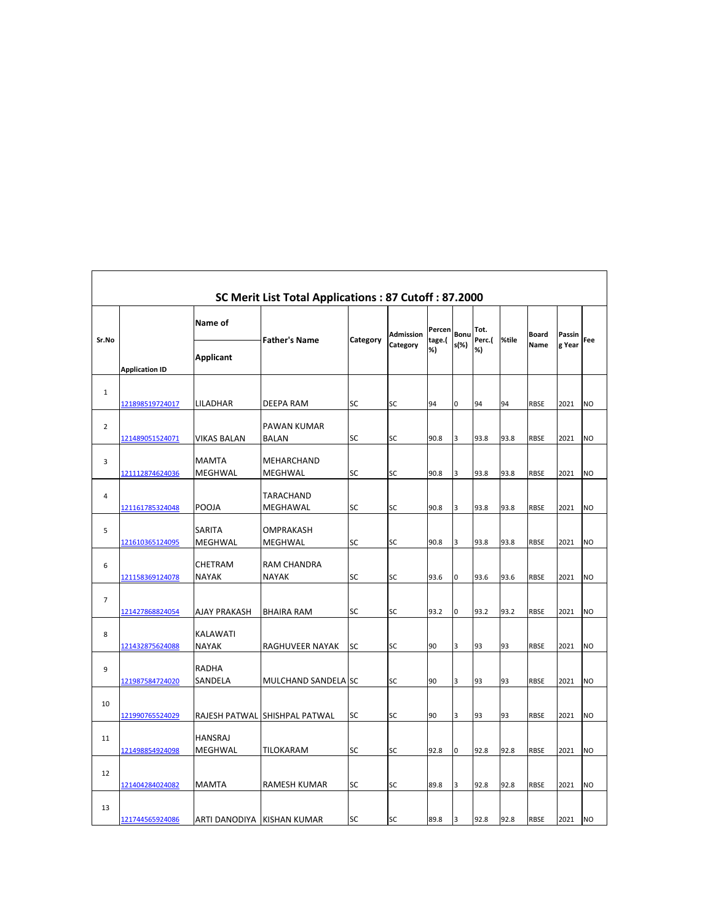|                |                        |                                 | SC Merit List Total Applications: 87 Cutoff: 87.2000 |          |                       |                        |              |                      |       |               |                  |                |
|----------------|------------------------|---------------------------------|------------------------------------------------------|----------|-----------------------|------------------------|--------------|----------------------|-------|---------------|------------------|----------------|
| Sr.No          | <b>Application ID</b>  | Name of<br><b>Applicant</b>     | <b>Father's Name</b>                                 | Category | Admission<br>Category | Percen<br>tage.(<br>%) | Bonu<br>s(%) | Tot.<br>Perc.(<br>%) | %tile | Board<br>Name | Passin<br>g Year | Fee            |
| $\mathbf{1}$   | 121898519724017        | LILADHAR                        | DEEPA RAM                                            | SC       | SC                    | 94                     | 0            | 94                   | 94    | <b>RBSE</b>   | 2021             | <b>NO</b>      |
| $\overline{2}$ | 121489051524071        | <b>VIKAS BALAN</b>              | <b>PAWAN KUMAR</b><br><b>BALAN</b>                   | SC       | SC                    | 90.8                   | 3            | 93.8                 | 93.8  | <b>RBSE</b>   | 2021             | <b>NO</b>      |
| 3              | <u>121112874624036</u> | <b>MAMTA</b><br><b>MEGHWAL</b>  | MEHARCHAND<br>MEGHWAL                                | SC       | SC                    | 90.8                   | 3            | 93.8                 | 93.8  | <b>RBSE</b>   | 2021             | <b>NO</b>      |
| 4              | 121161785324048        | <b>POOJA</b>                    | TARACHAND<br>MEGHAWAL                                | SC       | SC                    | 90.8                   | 3            | 93.8                 | 93.8  | <b>RBSE</b>   | 2021             | <b>NO</b>      |
| 5              | 121610365124095        | <b>SARITA</b><br>MEGHWAL        | OMPRAKASH<br>MEGHWAL                                 | SC       | SC                    | 90.8                   | 3            | 93.8                 | 93.8  | <b>RBSE</b>   | 2021             | <b>NO</b>      |
| 6              | 121158369124078        | <b>CHETRAM</b><br><b>NAYAK</b>  | RAM CHANDRA<br><b>NAYAK</b>                          | SC       | SC                    | 93.6                   | $\mathsf{O}$ | 93.6                 | 93.6  | <b>RBSE</b>   | 2021             | <b>NO</b>      |
| $\overline{7}$ | 121427868824054        | <b>AJAY PRAKASH</b>             | BHAIRA RAM                                           | SC       | SC                    | 93.2                   | 0            | 93.2                 | 93.2  | <b>RBSE</b>   | 2021             | <b>NO</b>      |
| 8              | 121432875624088        | <b>KALAWATI</b><br><b>NAYAK</b> | RAGHUVEER NAYAK                                      | SC       | SC                    | 90                     | 3            | 93                   | 93    | <b>RBSE</b>   | 2021             | <b>NO</b>      |
| 9              | 121987584724020        | <b>RADHA</b><br>SANDELA         | MULCHAND SANDELA SC                                  |          | SC                    | 90                     | 3            | 93                   | 93    | <b>RBSE</b>   | 2021             | N <sub>O</sub> |
| 10             | 121990765524029        |                                 | RAJESH PATWAL SHISHPAL PATWAL                        | SC       | SC                    | 90                     | 3            | 93                   | 93    | <b>RBSE</b>   | 2021             | <b>NO</b>      |
| 11             | 121498854924098        | <b>HANSRAJ</b><br>MEGHWAL       | TILOKARAM                                            | SC       | SC                    | 92.8                   | 0            | 92.8                 | 92.8  | <b>RBSE</b>   | 2021             | <b>NO</b>      |
| 12             | 121404284024082        | <b>MAMTA</b>                    | RAMESH KUMAR                                         | SC       | SC                    | 89.8                   | 3            | 92.8                 | 92.8  | <b>RBSE</b>   | 2021             | <b>NO</b>      |
| 13             | 121744565924086        | ARTI DANODIYA KISHAN KUMAR      |                                                      | SC       | SC                    | 89.8                   | 3            | 92.8                 | 92.8  | <b>RBSE</b>   | 2021             | <b>NO</b>      |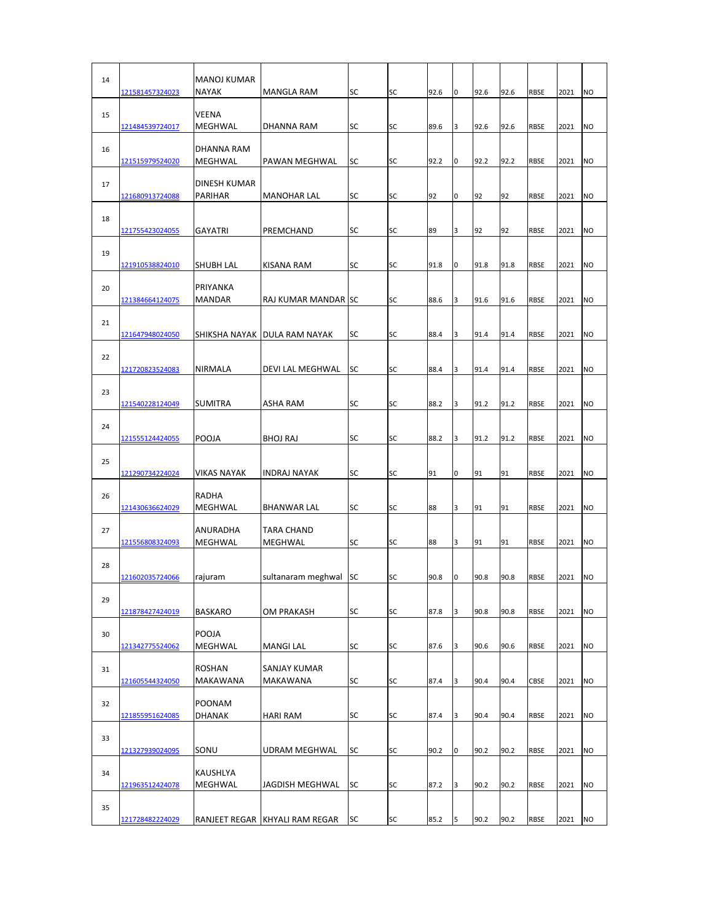| 14 | 121581457324023        | <b>MANOJ KUMAR</b><br><b>NAYAK</b> | MANGLA RAM                              | SC        | <b>SC</b>       | 92.6 | 0      | 92.6 | 92.6     | <b>RBSE</b> | 2021 | <b>NO</b>      |
|----|------------------------|------------------------------------|-----------------------------------------|-----------|-----------------|------|--------|------|----------|-------------|------|----------------|
| 15 | 121484539724017        | <b>VEENA</b><br>MEGHWAL            | <b>DHANNA RAM</b>                       | SC        | <b>SC</b>       | 89.6 | 3      | 92.6 | 92.6     | <b>RBSE</b> | 2021 | <b>NO</b>      |
| 16 | 121515979524020        | DHANNA RAM<br>MEGHWAL              | PAWAN MEGHWAL                           | <b>SC</b> | <b>SC</b>       | 92.2 | 0      | 92.2 | 92.2     | <b>RBSE</b> | 2021 | N <sub>O</sub> |
| 17 | 121680913724088        | <b>DINESH KUMAR</b><br>PARIHAR     | <b>MANOHAR LAL</b>                      | SC        | <b>SC</b>       | 92   | 0      | 92   | 92       | <b>RBSE</b> | 2021 | <b>NO</b>      |
| 18 | 121755423024055        | <b>GAYATRI</b>                     | PREMCHAND                               | SC        | SC              | 89   | 3      | 92   | 92       | <b>RBSE</b> | 2021 | <b>NO</b>      |
| 19 | 121910538824010        | SHUBH LAL                          | KISANA RAM                              | SC        | <b>SC</b>       | 91.8 | 0      | 91.8 | 91.8     | <b>RBSE</b> | 2021 | <b>NO</b>      |
| 20 | 121384664124075        | PRIYANKA<br><b>MANDAR</b>          | <b>RAJ KUMAR MANDAR ISC</b>             |           | SC              | 88.6 | 3      | 91.6 | 91.6     | <b>RBSE</b> | 2021 | <b>NO</b>      |
| 21 | 121647948024050        |                                    | SHIKSHA NAYAK   DULA RAM NAYAK          | SC        | <b>SC</b>       | 88.4 | 3      | 91.4 | 91.4     | <b>RBSE</b> | 2021 | <b>NO</b>      |
| 22 | 121720823524083        | <b>NIRMALA</b>                     | DEVI LAL MEGHWAL                        | SC        | <b>SC</b>       | 88.4 | 3      | 91.4 | 91.4     | <b>RBSE</b> | 2021 | <b>NO</b>      |
| 23 | 121540228124049        | <b>SUMITRA</b>                     | ASHA RAM                                | SC        | <b>SC</b>       | 88.2 | 3      | 91.2 | 91.2     | <b>RBSE</b> | 2021 | <b>NO</b>      |
| 24 |                        | POOJA                              | <b>BHOJ RAJ</b>                         | SC        | <b>SC</b>       | 88.2 | 3      | 91.2 | 91.2     | <b>RBSE</b> |      |                |
| 25 | <u>121555124424055</u> |                                    |                                         |           |                 |      |        |      |          |             | 2021 | <b>NO</b>      |
| 26 | 121290734224024        | <b>VIKAS NAYAK</b><br>RADHA        | <b>INDRAJ NAYAK</b>                     | SC        | SC<br><b>SC</b> | 91   | 0<br>3 | 91   | 91<br>91 | <b>RBSE</b> | 2021 | <b>NO</b>      |
| 27 | 121430636624029        | MEGHWAL<br>ANURADHA                | <b>BHANWAR LAL</b><br><b>TARA CHAND</b> | SC        |                 | 88   |        | 91   |          | <b>RBSE</b> | 2021 | <b>NO</b>      |
| 28 | 121556808324093        | MEGHWAL                            | MEGHWAL                                 | SC        | SC              | 88   | 3      | 91   | 91       | <b>RBSE</b> | 2021 | <b>NO</b>      |
| 29 | <u>121602035724066</u> | rajuram                            | sultanaram meghwal                      | SC        | SC              | 90.8 | 0      | 90.8 | 90.8     | <b>RBSE</b> | 2021 | <b>NO</b>      |
| 30 | 121878427424019        | <b>BASKARO</b><br>POOJA            | OM PRAKASH                              | SC        | SC              | 87.8 | 3      | 90.8 | 90.8     | <b>RBSE</b> | 2021 | <b>NO</b>      |
| 31 | 121342775524062        | MEGHWAL<br><b>ROSHAN</b>           | <b>MANGI LAL</b><br><b>SANJAY KUMAR</b> | SC        | SC              | 87.6 | 3      | 90.6 | 90.6     | <b>RBSE</b> | 2021 | <b>NO</b>      |
| 32 | 121605544324050        | MAKAWANA<br>POONAM                 | MAKAWANA                                | SC        | SC              | 87.4 | 3      | 90.4 | 90.4     | CBSE        | 2021 | <b>NO</b>      |
| 33 | 121855951624085        | <b>DHANAK</b>                      | HARI RAM                                | SC        | SC              | 87.4 | 3      | 90.4 | 90.4     | <b>RBSE</b> | 2021 | <b>NO</b>      |
|    | 121327939024095        | SONU                               | UDRAM MEGHWAL                           | SC        | SC              | 90.2 | 0      | 90.2 | 90.2     | <b>RBSE</b> | 2021 | <b>NO</b>      |
| 34 | 121963512424078        | KAUSHLYA<br>MEGHWAL                | JAGDISH MEGHWAL                         | SC        | SC              | 87.2 | 3      | 90.2 | 90.2     | <b>RBSE</b> | 2021 | <b>NO</b>      |
| 35 | 121728482224029        |                                    | RANJEET REGAR KHYALI RAM REGAR          | SC        | SC              | 85.2 | 5      | 90.2 | 90.2     | RBSE        | 2021 | <b>NO</b>      |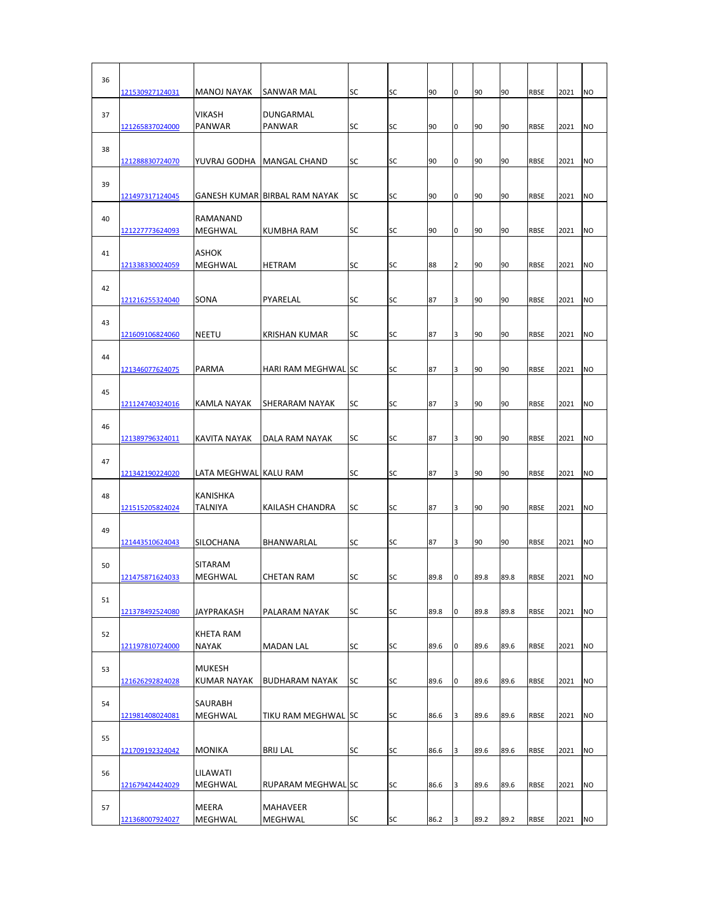| 36 | 121530927124031        | <b>MANOJ NAYAK</b>                 | SANWAR MAL                    | <b>SC</b> | SC        | 90   | 0              | 90   | 90   | <b>RBSE</b> | 2021 | N <sub>O</sub> |
|----|------------------------|------------------------------------|-------------------------------|-----------|-----------|------|----------------|------|------|-------------|------|----------------|
| 37 | 121265837024000        | <b>VIKASH</b><br><b>PANWAR</b>     | DUNGARMAL<br>PANWAR           | <b>SC</b> | <b>SC</b> | 90   | 0              | 90   | 90   | <b>RBSE</b> | 2021 | <b>NO</b>      |
| 38 | 121288830724070        | YUVRAJ GODHA                       | MANGAL CHAND                  | SC        | <b>SC</b> | 90   | 0              | 90   | 90   | <b>RBSE</b> | 2021 | <b>NO</b>      |
| 39 |                        |                                    |                               |           |           |      |                |      |      |             |      |                |
| 40 | 121497317124045        | <b>RAMANAND</b>                    | GANESH KUMAR BIRBAL RAM NAYAK | SC        | <b>SC</b> | 90   | 0              | 90   | 90   | <b>RBSE</b> | 2021 | <b>NO</b>      |
| 41 | 121227773624093        | MEGHWAL<br><b>ASHOK</b>            | KUMBHA RAM                    | SC        | SC        | 90   | 0              | 90   | 90   | <b>RBSE</b> | 2021 | <b>NO</b>      |
| 42 | 121338330024059        | MEGHWAL                            | HETRAM                        | SC        | <b>SC</b> | 88   | $\overline{2}$ | 90   | 90   | <b>RBSE</b> | 2021 | <b>NO</b>      |
| 43 | 121216255324040        | SONA                               | PYARELAL                      | SC        | <b>SC</b> | 87   | 3              | 90   | 90   | <b>RBSE</b> | 2021 | <b>NO</b>      |
|    | 121609106824060        | NEETU                              | <b>KRISHAN KUMAR</b>          | SC        | <b>SC</b> | 87   | 3              | 90   | 90   | <b>RBSE</b> | 2021 | <b>NO</b>      |
| 44 | 121346077624075        | <b>PARMA</b>                       | <b>HARI RAM MEGHWAL SC</b>    |           | <b>SC</b> | 87   | 3              | 90   | 90   | <b>RBSE</b> | 2021 | <b>NO</b>      |
| 45 | <u>121124740324016</u> | KAMLA NAYAK                        | SHERARAM NAYAK                | SC        | <b>SC</b> | 87   | 3              | 90   | 90   | <b>RBSE</b> | 2021 | <b>NO</b>      |
| 46 | 121389796324011        | <b>KAVITA NAYAK</b>                | DALA RAM NAYAK                | SC        | SC        | 87   | 3              | 90   | 90   | <b>RBSE</b> | 2021 | <b>NO</b>      |
| 47 | 121342190224020        | LATA MEGHWAL KALU RAM              |                               | SC        | <b>SC</b> | 87   | 3              | 90   | 90   | <b>RBSE</b> | 2021 | <b>NO</b>      |
| 48 | 121515205824024        | <b>KANISHKA</b><br><b>TALNIYA</b>  | KAILASH CHANDRA               | SC        | SC        | 87   | 3              | 90   | 90   | <b>RBSE</b> | 2021 | <b>NO</b>      |
| 49 |                        |                                    |                               |           |           |      |                |      |      |             |      |                |
|    | 121443510624043        | <b>SILOCHANA</b><br><b>SITARAM</b> | <b>BHANWARLAL</b>             | SC        | SC        | 87   | 3              | 90   | 90   | <b>RBSE</b> | 2021 | <b>NO</b>      |
| 50 | 121475871624033        | MEGHWAL                            | CHETAN RAM                    | SC        | SC        | 89.8 | 0              | 89.8 | 89.8 | <b>RBSE</b> | 2021 | <b>NO</b>      |
| 51 | 121378492524080        | JAYPRAKASH                         | PALARAM NAYAK                 | SC        | SC        | 89.8 | 0              | 89.8 | 89.8 | <b>RBSE</b> | 2021 | <b>NO</b>      |
| 52 | 121197810724000        | <b>KHETA RAM</b><br>NAYAK          | <b>MADAN LAL</b>              | SC        | SC        | 89.6 | 0              | 89.6 | 89.6 | <b>RBSE</b> | 2021 | <b>NO</b>      |
| 53 |                        | <b>MUKESH</b>                      |                               |           |           |      |                |      |      |             |      |                |
| 54 | 121626292824028        | <b>KUMAR NAYAK</b><br>SAURABH      | <b>BUDHARAM NAYAK</b>         | SC        | SC        | 89.6 | 0              | 89.6 | 89.6 | <b>RBSE</b> | 2021 | <b>NO</b>      |
|    | 121981408024081        | MEGHWAL                            | TIKU RAM MEGHWAL SC           |           | SC        | 86.6 | 3              | 89.6 | 89.6 | <b>RBSE</b> | 2021 | <b>NO</b>      |
| 55 | 121709192324042        | <b>MONIKA</b>                      | <b>BRIJ LAL</b>               | SC        | SC        | 86.6 | 3              | 89.6 | 89.6 | RBSE        | 2021 | <b>NO</b>      |
| 56 | 121679424424029        | LILAWATI<br>MEGHWAL                | RUPARAM MEGHWAL SC            |           | SC        | 86.6 | 3              | 89.6 | 89.6 | RBSE        | 2021 | <b>NO</b>      |
| 57 | 121368007924027        | <b>MEERA</b><br>MEGHWAL            | MAHAVEER<br>MEGHWAL           | SC        | SC        | 86.2 | 3              | 89.2 | 89.2 | RBSE        | 2021 | <b>NO</b>      |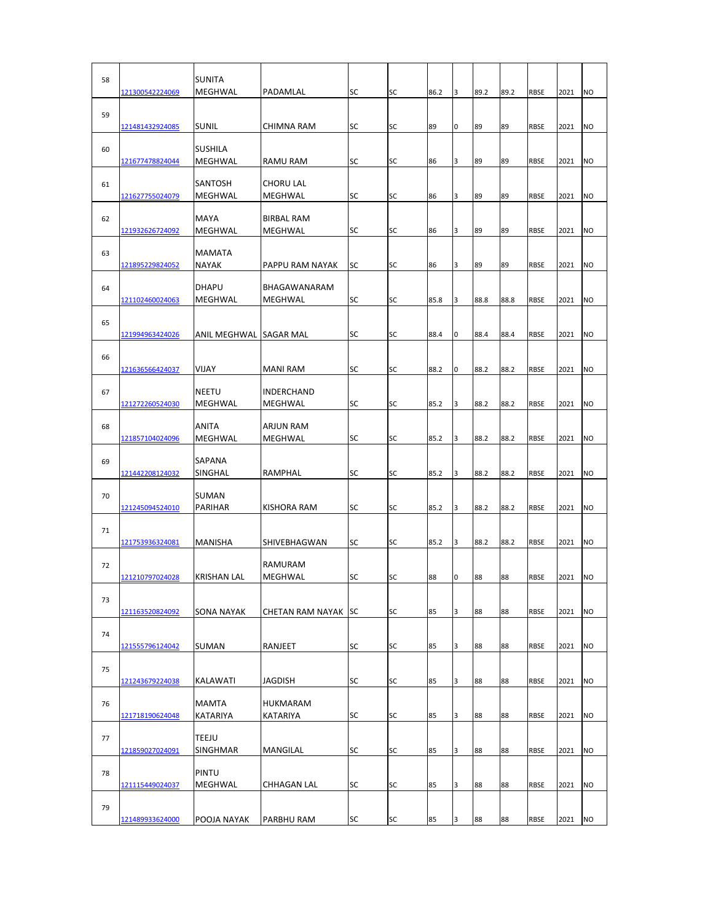| 58 | 121300542224069 | <b>SUNITA</b><br>MEGHWAL        | PADAMLAL                        | SC        | SC | 86.2 | 3 | 89.2 | 89.2 | RBSE        | 2021 | <b>NO</b>      |
|----|-----------------|---------------------------------|---------------------------------|-----------|----|------|---|------|------|-------------|------|----------------|
| 59 | 121481432924085 | <b>SUNIL</b>                    | CHIMNA RAM                      | SC        | SC | 89   | 0 | 89   | 89   | <b>RBSE</b> | 2021 | N <sub>O</sub> |
| 60 | 121677478824044 | <b>SUSHILA</b><br>MEGHWAL       | RAMU RAM                        | SC        | SC | 86   | 3 | 89   | 89   | <b>RBSE</b> | 2021 | N <sub>O</sub> |
| 61 |                 | <b>SANTOSH</b>                  | <b>CHORU LAL</b>                |           |    |      |   |      |      |             |      |                |
| 62 | 121627755024079 | MEGHWAL<br><b>MAYA</b>          | MEGHWAL<br><b>BIRBAL RAM</b>    | SC        | SC | 86   | 3 | 89   | 89   | <b>RBSE</b> | 2021 | <b>NO</b>      |
| 63 | 121932626724092 | MEGHWAL<br><b>MAMATA</b>        | MEGHWAL                         | SC        | SC | 86   | 3 | 89   | 89   | <b>RBSE</b> | 2021 | <b>NO</b>      |
| 64 | 121895229824052 | <b>NAYAK</b><br><b>DHAPU</b>    | PAPPU RAM NAYAK<br>BHAGAWANARAM | SC        | SC | 86   | 3 | 89   | 89   | <b>RBSE</b> | 2021 | <b>NO</b>      |
|    | 121102460024063 | MEGHWAL                         | MEGHWAL                         | SC        | SC | 85.8 | 3 | 88.8 | 88.8 | <b>RBSE</b> | 2021 | <b>NO</b>      |
| 65 | 121994963424026 | ANIL MEGHWAL ISAGAR MAL         |                                 | SC        | SC | 88.4 | 0 | 88.4 | 88.4 | <b>RBSE</b> | 2021 | <b>NO</b>      |
| 66 | 121636566424037 | VIJAY                           | MANI RAM                        | SC        | SC | 88.2 | 0 | 88.2 | 88.2 | <b>RBSE</b> | 2021 | <b>NO</b>      |
| 67 | 121272260524030 | <b>NEETU</b><br>MEGHWAL         | INDERCHAND<br>MEGHWAL           | SC        | SC | 85.2 | 3 | 88.2 | 88.2 | <b>RBSE</b> | 2021 | NO             |
| 68 |                 | <b>ANITA</b>                    | <b>ARJUN RAM</b>                |           |    |      |   |      |      |             |      |                |
| 69 | 121857104024096 | MEGHWAL<br><b>SAPANA</b>        | MEGHWAL                         | SC        | SC | 85.2 | 3 | 88.2 | 88.2 | <b>RBSE</b> | 2021 | NO             |
|    | 121442208124032 | SINGHAL                         | RAMPHAL                         | SC        | SC | 85.2 | 3 | 88.2 | 88.2 | <b>RBSE</b> | 2021 | <b>NO</b>      |
| 70 | 121245094524010 | <b>SUMAN</b><br>PARIHAR         | KISHORA RAM                     | SC        | SC | 85.2 | 3 | 88.2 | 88.2 | <b>RBSE</b> | 2021 | <b>NO</b>      |
| 71 | 121753936324081 | <b>MANISHA</b>                  | SHIVEBHAGWAN                    | SC        | SC | 85.2 | 3 | 88.2 | 88.2 | <b>RBSE</b> | 2021 | <b>NO</b>      |
| 72 | 121210797024028 | <b>KRISHAN LAL</b>              | <b>RAMURAM</b><br>MEGHWAL       | SC        | SC | 88   | 0 | 88   | 88   | <b>RBSE</b> | 2021 | <b>NO</b>      |
| 73 | 121163520824092 | <b>SONA NAYAK</b>               | CHETAN RAM NAYAK                | <b>SC</b> | SC | 85   | 3 | 88   | 88   | <b>RBSE</b> | 2021 | <b>NO</b>      |
| 74 |                 |                                 |                                 |           |    |      |   |      |      |             |      |                |
|    | 121555796124042 | <b>SUMAN</b>                    | RANJEET                         | SC        | SC | 85   | 3 | 88   | 88   | <b>RBSE</b> | 2021 | <b>NO</b>      |
| 75 | 121243679224038 | <b>KALAWATI</b>                 | JAGDISH                         | SC        | SC | 85   | 3 | 88   | 88   | <b>RBSE</b> | 2021 | <b>NO</b>      |
| 76 | 121718190624048 | MAMTA<br>KATARIYA               | <b>HUKMARAM</b><br>KATARIYA     | SC        | SC | 85   | 3 | 88   | 88   | <b>RBSE</b> | 2021 | <b>NO</b>      |
| 77 | 121859027024091 | <b>TEEJU</b><br><b>SINGHMAR</b> | MANGILAL                        | SC        | SC | 85   | 3 | 88   | 88   | <b>RBSE</b> | 2021 | <b>NO</b>      |
| 78 | 121115449024037 | <b>PINTU</b><br>MEGHWAL         | CHHAGAN LAL                     | SC        | SC | 85   | 3 | 88   | 88   | <b>RBSE</b> | 2021 | <b>NO</b>      |
| 79 |                 |                                 |                                 |           |    |      |   |      |      |             |      |                |
|    | 121489933624000 | POOJA NAYAK                     | PARBHU RAM                      | SC        | SC | 85   | 3 | 88   | 88   | RBSE        | 2021 | <b>NO</b>      |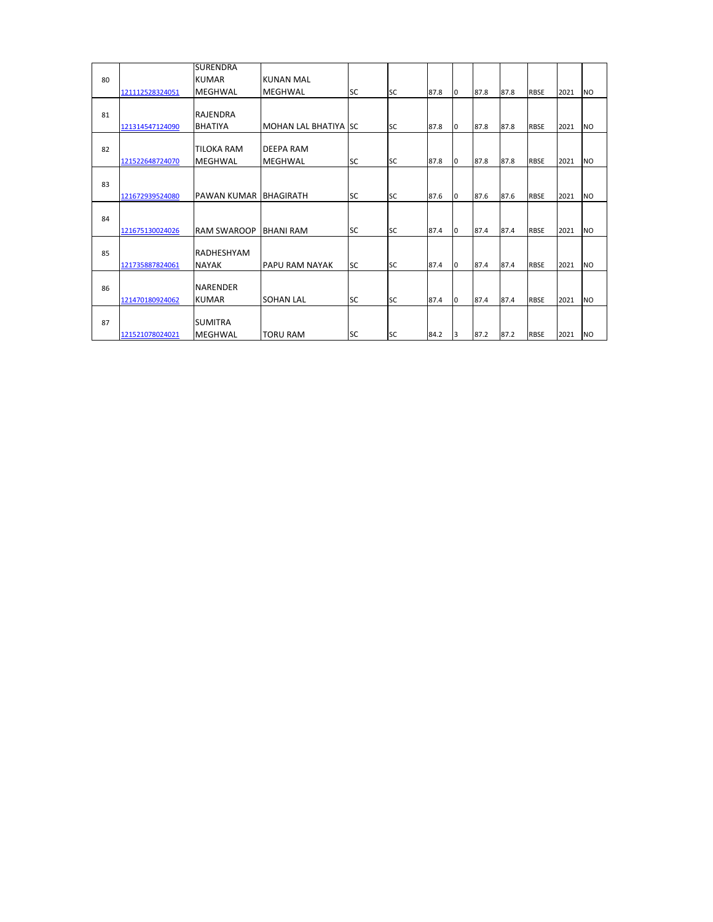|    |                 | <b>SURENDRA</b>    |                          |           |           |      |    |      |      |             |      |           |
|----|-----------------|--------------------|--------------------------|-----------|-----------|------|----|------|------|-------------|------|-----------|
| 80 |                 | <b>KUMAR</b>       | <b>KUNAN MAL</b>         |           |           |      |    |      |      |             |      |           |
|    | 121112528324051 | <b>MEGHWAL</b>     | MEGHWAL                  | <b>SC</b> | <b>SC</b> | 87.8 | lo | 87.8 | 87.8 | <b>RBSE</b> | 2021 | <b>NO</b> |
|    |                 |                    |                          |           |           |      |    |      |      |             |      |           |
| 81 |                 | RAJENDRA           |                          |           |           |      |    |      |      |             |      |           |
|    | 121314547124090 | <b>BHATIYA</b>     | <b>MOHAN LAL BHATIYA</b> | <b>SC</b> | <b>SC</b> | 87.8 | l0 | 87.8 | 87.8 | <b>RBSE</b> | 2021 | <b>NO</b> |
|    |                 |                    |                          |           |           |      |    |      |      |             |      |           |
| 82 |                 | <b>TILOKA RAM</b>  | DEEPA RAM                |           |           |      |    |      |      |             |      |           |
|    | 121522648724070 | <b>MEGHWAL</b>     | MEGHWAL                  | <b>SC</b> | <b>SC</b> | 87.8 | l0 | 87.8 | 87.8 | <b>RBSE</b> | 2021 | <b>NO</b> |
|    |                 |                    |                          |           |           |      |    |      |      |             |      |           |
| 83 |                 |                    |                          |           |           |      |    |      |      |             |      |           |
|    | 121672939524080 | PAWAN KUMAR        | <b>BHAGIRATH</b>         | <b>SC</b> | <b>SC</b> | 87.6 | l0 | 87.6 | 87.6 | <b>RBSE</b> | 2021 | <b>NO</b> |
|    |                 |                    |                          |           |           |      |    |      |      |             |      |           |
| 84 |                 |                    |                          |           |           |      |    |      |      |             |      |           |
|    | 121675130024026 | <b>RAM SWAROOP</b> | <b>BHANI RAM</b>         | <b>SC</b> | <b>SC</b> | 87.4 | l0 | 87.4 | 87.4 | <b>RBSE</b> | 2021 | <b>NO</b> |
| 85 |                 | RADHESHYAM         |                          |           |           |      |    |      |      |             |      |           |
|    | 121735887824061 | <b>NAYAK</b>       | PAPU RAM NAYAK           | <b>SC</b> | <b>SC</b> | 87.4 | l0 | 87.4 | 87.4 | <b>RBSE</b> | 2021 | <b>NO</b> |
|    |                 |                    |                          |           |           |      |    |      |      |             |      |           |
| 86 |                 | <b>NARENDER</b>    |                          |           |           |      |    |      |      |             |      |           |
|    | 121470180924062 | <b>KUMAR</b>       | <b>SOHAN LAL</b>         | SC        | <b>SC</b> | 87.4 | l0 | 87.4 | 87.4 | <b>RBSE</b> | 2021 | <b>NO</b> |
|    |                 |                    |                          |           |           |      |    |      |      |             |      |           |
| 87 |                 | <b>SUMITRA</b>     |                          |           |           |      |    |      |      |             |      |           |
|    | 121521078024021 | MEGHWAL            | <b>TORU RAM</b>          | <b>SC</b> | <b>SC</b> | 84.2 | 3  | 87.2 | 87.2 | <b>RBSE</b> | 2021 | <b>NO</b> |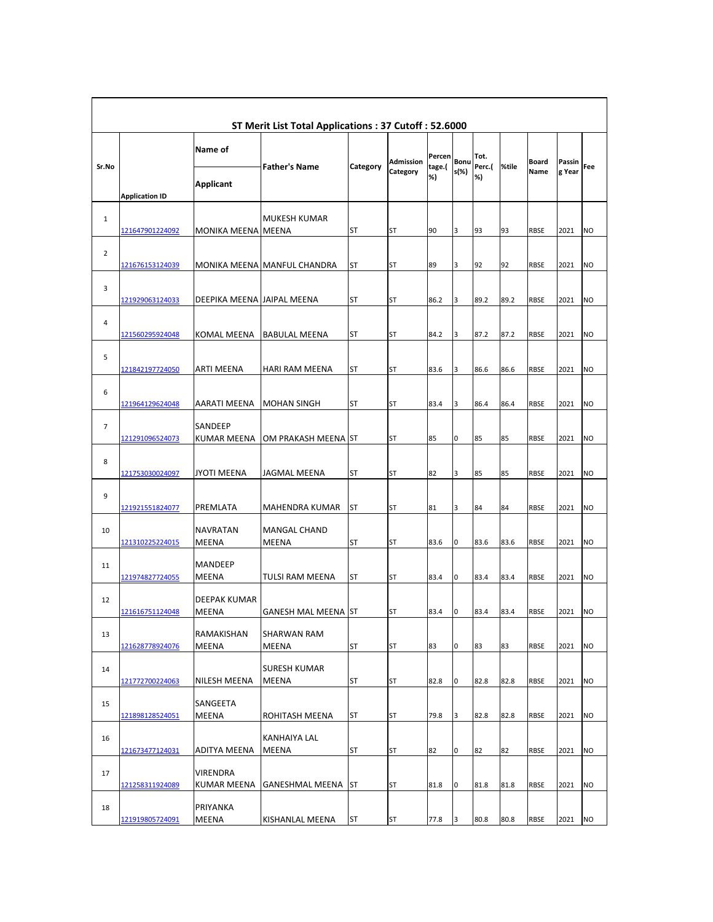|                |                        |                                 | ST Merit List Total Applications: 37 Cutoff: 52.6000 |            |                       |                  |              |                |       |               |                  |           |
|----------------|------------------------|---------------------------------|------------------------------------------------------|------------|-----------------------|------------------|--------------|----------------|-------|---------------|------------------|-----------|
| Sr.No          |                        | Name of                         | <b>Father's Name</b>                                 | Category   | Admission<br>Category | Percen<br>tage.( | Bonu<br>s(%) | Tot.<br>Perc.( | %tile | Board<br>Name | Passin<br>g Year | Fee       |
|                | <b>Application ID</b>  | Applicant                       |                                                      |            |                       | %)               |              | %)             |       |               |                  |           |
| 1              | <u>121647901224092</u> | <b>MONIKA MEENA MEENA</b>       | MUKESH KUMAR                                         | ST         | <b>ST</b>             | 90               | 3            | 93             | 93    | <b>RBSE</b>   | 2021             | <b>NO</b> |
| 2              | <u>121676153124039</u> |                                 | MONIKA MEENA MANFUL CHANDRA                          | ST         | <b>ST</b>             | 89               | 3            | 92             | 92    | <b>RBSE</b>   | 2021             | <b>NO</b> |
| 3              | 121929063124033        | DEEPIKA MEENA JAIPAL MEENA      |                                                      | ST         | <b>ST</b>             | 86.2             | 3            | 89.2           | 89.2  | <b>RBSE</b>   | 2021             | <b>NO</b> |
| 4              | 121560295924048        | <b>KOMAL MEENA</b>              | <b>BABULAL MEENA</b>                                 | ST         | <b>ST</b>             | 84.2             | 3            | 87.2           | 87.2  | <b>RBSE</b>   | 2021             | <b>NO</b> |
| 5              | 121842197724050        | <b>ARTI MEENA</b>               | <b>HARI RAM MEENA</b>                                | <b>ST</b>  | <b>ST</b>             | 83.6             | 3            | 86.6           | 86.6  | <b>RBSE</b>   | 2021             | <b>NO</b> |
| 6              | 121964129624048        | <b>AARATI MEENA</b>             | <b>MOHAN SINGH</b>                                   | ST         | ST                    | 83.4             | 3            | 86.4           | 86.4  | <b>RBSE</b>   | 2021             | <b>NO</b> |
| $\overline{7}$ | 121291096524073        | SANDEEP<br><b>KUMAR MEENA</b>   | OM PRAKASH MEENA ST                                  |            | <b>ST</b>             | 85               | 0            | 85             | 85    | <b>RBSE</b>   | 2021             | <b>NO</b> |
| 8              | 121753030024097        | JYOTI MEENA                     | JAGMAL MEENA                                         | ST         | <b>ST</b>             | 82               | 3            | 85             | 85    | <b>RBSE</b>   | 2021             | <b>NO</b> |
| 9              | 121921551824077        | PREMLATA                        | MAHENDRA KUMAR                                       | ST         | <b>ST</b>             | 81               | 3            | 84             | 84    | <b>RBSE</b>   | 2021             | <b>NO</b> |
| 10             | 121310225224015        | <b>NAVRATAN</b><br><b>MEENA</b> | <b>MANGAL CHAND</b><br><b>MEENA</b>                  | ST         | ST                    | 83.6             | 0            | 83.6           | 83.6  | <b>RBSE</b>   | 2021             | <b>NO</b> |
| 11             | 121974827724055        | <b>MANDEEP</b><br><b>MEENA</b>  | TULSI RAM MEENA                                      | ST         | <b>ST</b>             | 83.4             | 0            | 83.4           | 83.4  | <b>RBSE</b>   | 2021             | <b>NO</b> |
| 12             | 121616751124048        | <b>DEEPAK KUMAR</b><br>MEENA    | <b>GANESH MAL MEENA ST</b>                           |            | <b>ST</b>             | 83.4             | 0            | 83.4           | 83.4  | <b>RBSE</b>   | 2021             | <b>NO</b> |
| 13             | 121628778924076        | <b>RAMAKISHAN</b><br>MEENA      | <b>SHARWAN RAM</b><br>MEENA                          | ST         | ST                    | 83               | $\pmb{0}$    | 83             | 83    | RBSE          | 2021             | <b>NO</b> |
| 14             | <u>121772700224063</u> | NILESH MEENA                    | <b>SURESH KUMAR</b><br>MEENA                         | ST         | ST                    | 82.8             | 0            | 82.8           | 82.8  | RBSE          | 2021             | <b>NO</b> |
| 15             | 121898128524051        | SANGEETA<br>MEENA               | ROHITASH MEENA                                       | ST         | <b>ST</b>             | 79.8             | 3            | 82.8           | 82.8  | RBSE          | 2021             | <b>NO</b> |
| 16             | 121673477124031        | ADITYA MEENA                    | KANHAIYA LAL<br>MEENA                                | ST         | ST                    | 82               | 0            | 82             | 82    | RBSE          | 2021             | <b>NO</b> |
| 17             | 121258311924089        | VIRENDRA<br><b>KUMAR MEENA</b>  | GANESHMAL MEENA                                      | <b>IST</b> | <b>ST</b>             | 81.8             | 0            | 81.8           | 81.8  | RBSE          | 2021             | <b>NO</b> |
| 18             | 121919805724091        | PRIYANKA<br>MEENA               | KISHANLAL MEENA                                      | ST         | ST                    | 77.8             | 3            | 80.8           | 80.8  | RBSE          | 2021             | <b>NO</b> |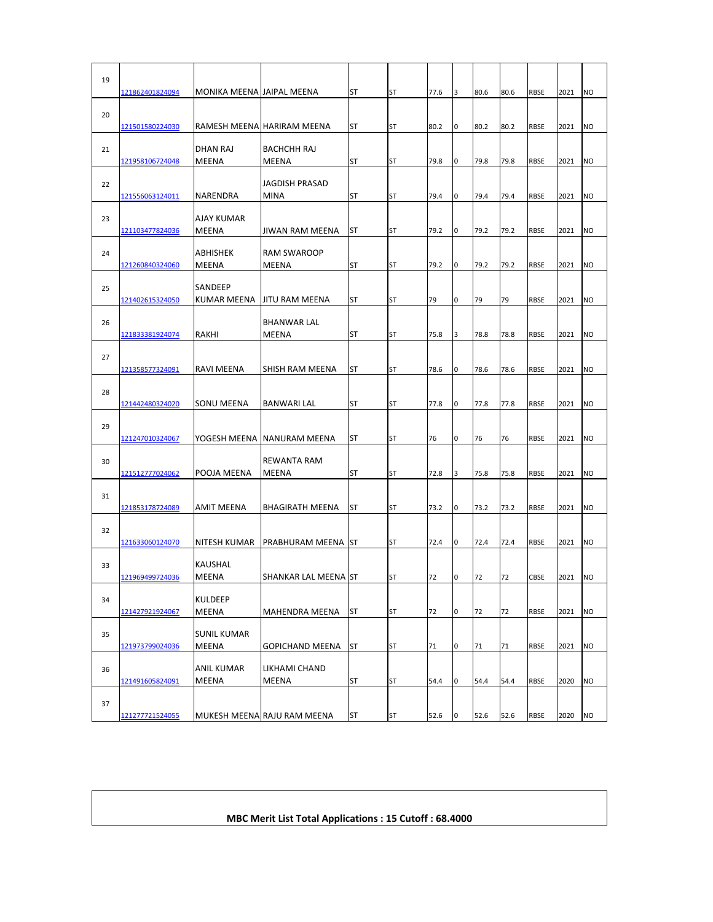| 19 | 121862401824094                    | MONIKA MEENA JAIPAL MEENA         |                                                             | ST              | <b>ST</b>              | 77.6       | 3      | 80.6       | 80.6       | <b>RBSE</b>                | 2021         | <b>NO</b>              |
|----|------------------------------------|-----------------------------------|-------------------------------------------------------------|-----------------|------------------------|------------|--------|------------|------------|----------------------------|--------------|------------------------|
| 20 | <u>121501580224030</u>             |                                   | RAMESH MEENA HARIRAM MEENA                                  | ST              | <b>ST</b>              | 80.2       | 0      | 80.2       | 80.2       | <b>RBSE</b>                | 2021         | <b>NO</b>              |
| 21 | 121958106724048                    | DHAN RAJ<br><b>MEENA</b>          | <b>BACHCHH RAJ</b><br>MEENA                                 | ST              | <b>ST</b>              | 79.8       | 0      | 79.8       | 79.8       | <b>RBSE</b>                | 2021         | <b>NO</b>              |
| 22 | 121556063124011                    | NARENDRA                          | <b>JAGDISH PRASAD</b><br><b>MINA</b>                        | ST              | <b>ST</b>              | 79.4       | 0      | 79.4       | 79.4       | <b>RBSE</b>                | 2021         | <b>NO</b>              |
| 23 | 121103477824036                    | <b>AJAY KUMAR</b><br><b>MEENA</b> | JIWAN RAM MEENA                                             | ST              | <b>ST</b>              | 79.2       | 0      | 79.2       | 79.2       | <b>RBSE</b>                | 2021         | N <sub>O</sub>         |
| 24 | 121260840324060                    | ABHISHEK<br><b>MEENA</b>          | RAM SWAROOP<br><b>MEENA</b>                                 | <b>ST</b>       | <b>ST</b>              | 79.2       | l0     | 79.2       | 79.2       | <b>RBSE</b>                | 2021         | N <sub>O</sub>         |
| 25 | 121402615324050                    | SANDEEP<br><b>KUMAR MEENA</b>     | <b>JITU RAM MEENA</b>                                       | ST              | <b>ST</b>              | 79         | 0      | 79         | 79         | <b>RBSE</b>                | 2021         | <b>NO</b>              |
| 26 | 121833381924074                    | RAKHI                             | BHANWAR LAL<br>MEENA                                        | ST              | <b>ST</b>              | 75.8       | 3      | 78.8       | 78.8       | <b>RBSE</b>                | 2021         | <b>NO</b>              |
| 27 | <u>121358577324091</u>             | RAVI MEENA                        | SHISH RAM MEENA                                             | ST              | <b>ST</b>              | 78.6       | 0      | 78.6       | 78.6       | <b>RBSE</b>                | 2021         | <b>NO</b>              |
| 28 | 121442480324020                    |                                   |                                                             | ST              | <b>ST</b>              | 77.8       | 0      | 77.8       | 77.8       | <b>RBSE</b>                | 2021         | <b>NO</b>              |
| 29 |                                    | SONU MEENA                        | BANWARI LAL                                                 |                 |                        |            |        |            |            |                            |              |                        |
| 30 | 121247010324067<br>121512777024062 | POOJA MEENA                       | YOGESH MEENA   NANURAM MEENA<br>REWANTA RAM<br><b>MEENA</b> | ST<br><b>ST</b> | <b>ST</b><br><b>ST</b> | 76<br>72.8 | 0<br>3 | 76<br>75.8 | 76<br>75.8 | <b>RBSE</b><br><b>RBSE</b> | 2021<br>2021 | <b>NO</b><br><b>NO</b> |
| 31 | 121853178724089                    | AMIT MEENA                        | <b>BHAGIRATH MEENA</b>                                      | <b>ST</b>       | <b>ST</b>              | 73.2       | 0      | 73.2       | 73.2       | <b>RBSE</b>                | 2021         | <b>NO</b>              |
| 32 | 121633060124070                    | NITESH KUMAR                      | PRABHURAM MEENA                                             | ST              | <b>ST</b>              | 72.4       | 0      | 72.4       | 72.4       | <b>RBSE</b>                | 2021         | <b>NO</b>              |
| 33 | 121969499724036                    | <b>KAUSHAL</b><br>MEENA           | SHANKAR LAL MEENA ST                                        |                 | <b>ST</b>              | 72         | 0      | 72         | 72         | CBSE                       | 2021         | <b>NO</b>              |
| 34 | 121427921924067                    | <b>KULDEEP</b><br><b>MEENA</b>    | MAHENDRA MEENA                                              | ST              | <b>ST</b>              | 72         | 0      | 72         | 72         | <b>RBSE</b>                | 2021         | <b>NO</b>              |
| 35 |                                    | <b>SUNIL KUMAR</b>                |                                                             |                 |                        |            |        |            |            |                            |              |                        |
| 36 | 121973799024036                    | MEENA<br><b>ANIL KUMAR</b>        | <b>GOPICHAND MEENA</b><br>LIKHAMI CHAND                     | <b>ST</b>       | ST                     | 71         | 0      | 71         | 71         | <b>RBSE</b>                | 2021         | <b>NO</b>              |
| 37 | 121491605824091                    | MEENA                             | MEENA                                                       | ST              | <b>ST</b>              | 54.4       | 0      | 54.4       | 54.4       | <b>RBSE</b>                | 2020         | N <sub>O</sub>         |
|    | 121277721524055                    |                                   | MUKESH MEENA RAJU RAM MEENA                                 | ST              | <b>ST</b>              | 52.6       | O      | 52.6       | 52.6       | <b>RBSE</b>                | 2020         | <b>NO</b>              |

## **MBC Merit List Total Applications : 15 Cutoff : 68.4000**